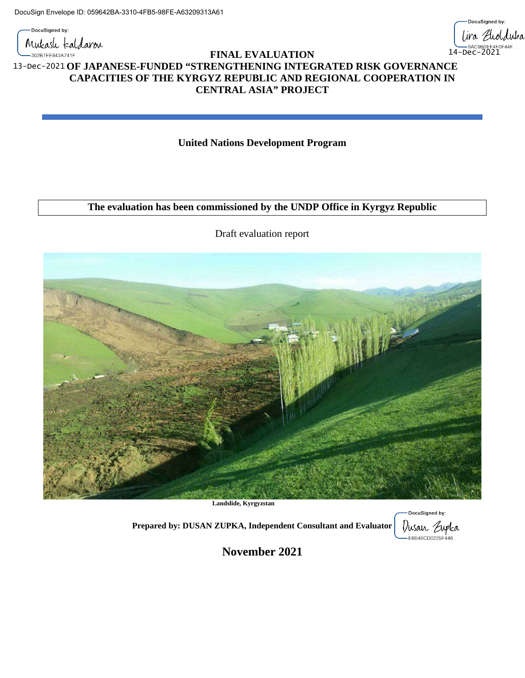DocuSigned by: Mukash kaldaron

-302B7EE843A741F...



## **FINAL EVALUATION OF JAPANESE-FUNDED "STRENGTHENING INTEGRATED RISK GOVERNANCE** 13-Dec-2021 **CAPACITIES OF THE KYRGYZ REPUBLIC AND REGIONAL COOPERATION IN CENTRAL ASIA" PROJECT**

**United Nations Development Program**

## **The evaluation has been commissioned by the UNDP Office in Kyrgyz Republic**

Draft evaluation report



**Landslide, Kyrgyzstan**

**Prepared by: DUSAN ZUPKA, Independent Consultant and Evaluator**

DocuSigned by: Dusan Zupka<br>— EB540CD0225F446...

**November 2021**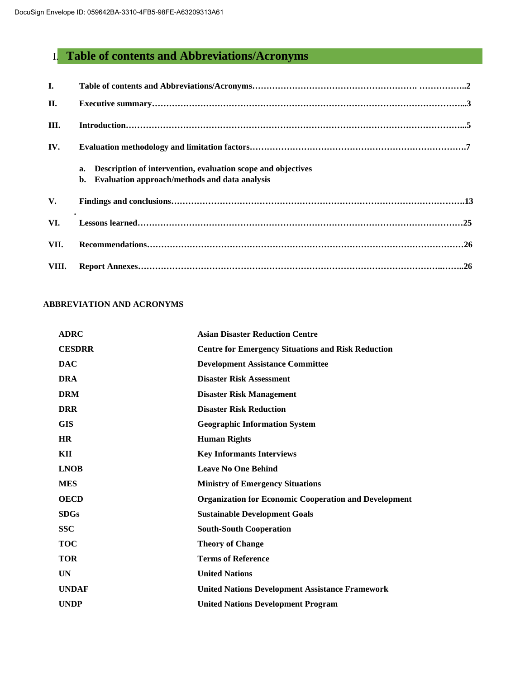# I. **Table of contents and Abbreviations/Acronyms**

| I.    |                                                                                                                           |
|-------|---------------------------------------------------------------------------------------------------------------------------|
| II.   |                                                                                                                           |
| III.  |                                                                                                                           |
| IV.   |                                                                                                                           |
|       | Description of intervention, evaluation scope and objectives<br>a.<br>Evaluation approach/methods and data analysis<br>b. |
| V.    |                                                                                                                           |
| VI.   |                                                                                                                           |
| VII.  |                                                                                                                           |
| VIII. |                                                                                                                           |

## **ABBREVIATION AND ACRONYMS**

| <b>ADRC</b>   | <b>Asian Disaster Reduction Centre</b>                       |
|---------------|--------------------------------------------------------------|
| <b>CESDRR</b> | <b>Centre for Emergency Situations and Risk Reduction</b>    |
| <b>DAC</b>    | <b>Development Assistance Committee</b>                      |
| <b>DRA</b>    | <b>Disaster Risk Assessment</b>                              |
| <b>DRM</b>    | <b>Disaster Risk Management</b>                              |
| <b>DRR</b>    | <b>Disaster Risk Reduction</b>                               |
| <b>GIS</b>    | <b>Geographic Information System</b>                         |
| <b>HR</b>     | <b>Human Rights</b>                                          |
| KII           | <b>Key Informants Interviews</b>                             |
| <b>LNOB</b>   | <b>Leave No One Behind</b>                                   |
| <b>MES</b>    | <b>Ministry of Emergency Situations</b>                      |
| <b>OECD</b>   | <b>Organization for Economic Cooperation and Development</b> |
| <b>SDGs</b>   | <b>Sustainable Development Goals</b>                         |
| <b>SSC</b>    | <b>South-South Cooperation</b>                               |
| <b>TOC</b>    | <b>Theory of Change</b>                                      |
| <b>TOR</b>    | <b>Terms of Reference</b>                                    |
| <b>UN</b>     | <b>United Nations</b>                                        |
| <b>UNDAF</b>  | <b>United Nations Development Assistance Framework</b>       |
| <b>UNDP</b>   | <b>United Nations Development Program</b>                    |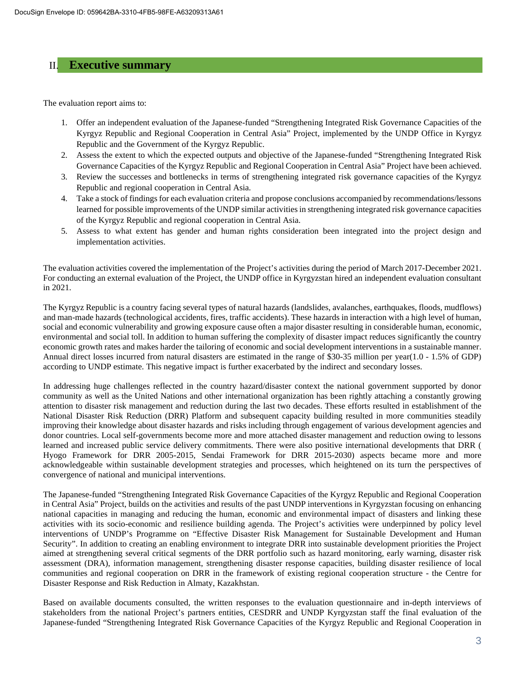## II. **Executive summary**

The evaluation report aims to:

- 1. Offer an independent evaluation of the Japanese-funded "Strengthening Integrated Risk Governance Capacities of the Kyrgyz Republic and Regional Cooperation in Central Asia" Project, implemented by the UNDP Office in Kyrgyz Republic and the Government of the Kyrgyz Republic.
- 2. Assess the extent to which the expected outputs and objective of the Japanese-funded "Strengthening Integrated Risk Governance Capacities of the Kyrgyz Republic and Regional Cooperation in Central Asia" Project have been achieved.
- 3. Review the successes and bottlenecks in terms of strengthening integrated risk governance capacities of the Kyrgyz Republic and regional cooperation in Central Asia.
- 4. Take a stock of findingsfor each evaluation criteria and propose conclusions accompanied by recommendations/lessons learned for possible improvements of the UNDP similar activities in strengthening integrated risk governance capacities of the Kyrgyz Republic and regional cooperation in Central Asia.
- 5. Assess to what extent has gender and human rights consideration been integrated into the project design and implementation activities.

The evaluation activities covered the implementation of the Project's activities during the period of March 2017-December 2021. For conducting an external evaluation of the Project, the UNDP office in Kyrgyzstan hired an independent evaluation consultant in 2021.

The Kyrgyz Republic is a country facing several types of natural hazards (landslides, avalanches, earthquakes, floods, mudflows) and man-made hazards (technological accidents, fires, traffic accidents). These hazards in interaction with a high level of human, social and economic vulnerability and growing exposure cause often a major disaster resulting in considerable human, economic, environmental and social toll. In addition to human suffering the complexity of disaster impact reduces significantly the country economic growth rates and makes harder the tailoring of economic and social development interventions in a sustainable manner. Annual direct losses incurred from natural disasters are estimated in the range of \$30-35 million per year(1.0 - 1.5% of GDP) according to UNDP estimate. This negative impact is further exacerbated by the indirect and secondary losses.

In addressing huge challenges reflected in the country hazard/disaster context the national government supported by donor community as well as the United Nations and other international organization has been rightly attaching a constantly growing attention to disaster risk management and reduction during the last two decades. These efforts resulted in establishment of the National Disaster Risk Reduction (DRR) Platform and subsequent capacity building resulted in more communities steadily improving their knowledge about disaster hazards and risks including through engagement of various development agencies and donor countries. Local self-governments become more and more attached disaster management and reduction owing to lessons learned and increased public service delivery commitments. There were also positive international developments that DRR ( Hyogo Framework for DRR 2005-2015, Sendai Framework for DRR 2015-2030) aspects became more and more acknowledgeable within sustainable development strategies and processes, which heightened on its turn the perspectives of convergence of national and municipal interventions.

The Japanese-funded "Strengthening Integrated Risk Governance Capacities of the Kyrgyz Republic and Regional Cooperation in Central Asia" Project, builds on the activities and results of the past UNDP interventions in Kyrgyzstan focusing on enhancing national capacities in managing and reducing the human, economic and environmental impact of disasters and linking these activities with its socio-economic and resilience building agenda. The Project's activities were underpinned by policy level interventions of UNDP's Programme on "Effective Disaster Risk Management for Sustainable Development and Human Security". In addition to creating an enabling environment to integrate DRR into sustainable development priorities the Project aimed at strengthening several critical segments of the DRR portfolio such as hazard monitoring, early warning, disaster risk assessment (DRA), information management, strengthening disaster response capacities, building disaster resilience of local communities and regional cooperation on DRR in the framework of existing regional cooperation structure - the Centre for Disaster Response and Risk Reduction in Almaty, Kazakhstan.

Based on available documents consulted, the written responses to the evaluation questionnaire and in-depth interviews of stakeholders from the national Project's partners entities, CESDRR and UNDP Kyrgyzstan staff the final evaluation of the Japanese-funded "Strengthening Integrated Risk Governance Capacities of the Kyrgyz Republic and Regional Cooperation in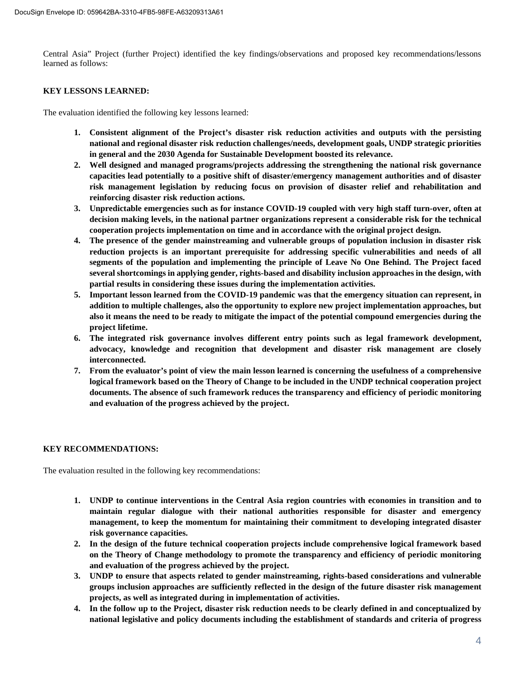Central Asia" Project (further Project) identified the key findings/observations and proposed key recommendations/lessons learned as follows:

#### **KEY LESSONS LEARNED:**

The evaluation identified the following key lessons learned:

- **1. Consistent alignment of the Project's disaster risk reduction activities and outputs with the persisting national and regional disaster risk reduction challenges/needs, development goals, UNDP strategic priorities in general and the 2030 Agenda for Sustainable Development boosted its relevance.**
- **2. Well designed and managed programs/projects addressing the strengthening the national risk governance capacities lead potentially to a positive shift of disaster/emergency management authorities and of disaster risk management legislation by reducing focus on provision of disaster relief and rehabilitation and reinforcing disaster risk reduction actions.**
- **3. Unpredictable emergencies such as for instance COVID-19 coupled with very high staff turn-over, often at decision making levels, in the national partner organizations represent a considerable risk for the technical cooperation projects implementation on time and in accordance with the original project design.**
- **4. The presence of the gender mainstreaming and vulnerable groups of population inclusion in disaster risk reduction projects is an important prerequisite for addressing specific vulnerabilities and needs of all segments of the population and implementing the principle of Leave No One Behind. The Project faced several shortcomings in applying gender, rights-based and disability inclusion approaches in the design, with partial results in considering these issues during the implementation activities.**
- **5. Important lesson learned from the COVID-19 pandemic was that the emergency situation can represent, in addition to multiple challenges, also the opportunity to explore new project implementation approaches, but also it means the need to be ready to mitigate the impact of the potential compound emergencies during the project lifetime.**
- **6. The integrated risk governance involves different entry points such as legal framework development, advocacy, knowledge and recognition that development and disaster risk management are closely interconnected.**
- **7. From the evaluator's point of view the main lesson learned is concerning the usefulness of a comprehensive logical framework based on the Theory of Change to be included in the UNDP technical cooperation project documents. The absence of such framework reduces the transparency and efficiency of periodic monitoring and evaluation of the progress achieved by the project.**

## **KEY RECOMMENDATIONS:**

The evaluation resulted in the following key recommendations:

- **1. UNDP to continue interventions in the Central Asia region countries with economies in transition and to maintain regular dialogue with their national authorities responsible for disaster and emergency management, to keep the momentum for maintaining their commitment to developing integrated disaster risk governance capacities.**
- **2. In the design of the future technical cooperation projects include comprehensive logical framework based on the Theory of Change methodology to promote the transparency and efficiency of periodic monitoring and evaluation of the progress achieved by the project.**
- **3. UNDP to ensure that aspects related to gender mainstreaming, rights-based considerations and vulnerable groups inclusion approaches are sufficiently reflected in the design of the future disaster risk management projects, as well as integrated during in implementation of activities.**
- **4. In the follow up to the Project, disaster risk reduction needs to be clearly defined in and conceptualized by national legislative and policy documents including the establishment of standards and criteria of progress**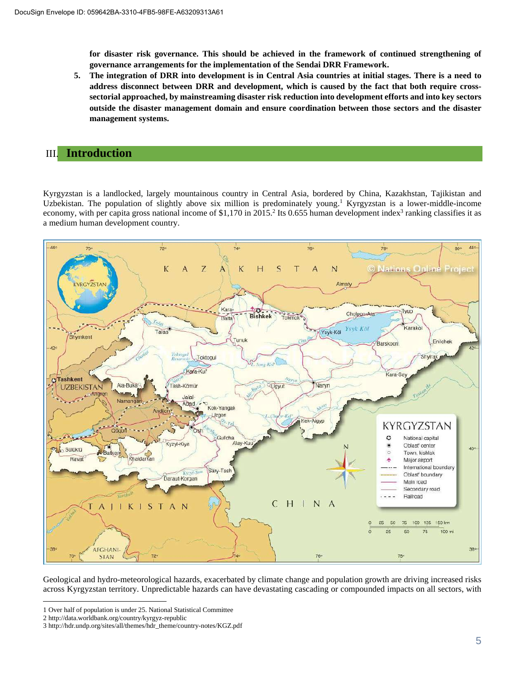**for disaster risk governance. This should be achieved in the framework of continued strengthening of governance arrangements for the implementation of the Sendai DRR Framework.**

**5. The integration of DRR into development is in Central Asia countries at initial stages. There is a need to address disconnect between DRR and development, which is caused by the fact that both require crosssectorial approached, by mainstreaming disaster risk reduction into development efforts and into key sectors outside the disaster management domain and ensure coordination between those sectors and the disaster management systems.**

## III. **Introduction**

Kyrgyzstan is a landlocked, largely mountainous country in Central Asia, bordered by China, Kazakhstan, Tajikistan and Uzbekistan. The population of slightly above six million is predominately young.<sup>1</sup> Kyrgyzstan is a lower-middle-income economy, with per capita gross national income of \$1,170 in 2015.<sup>2</sup> Its 0.655 human development index<sup>3</sup> ranking classifies it as a medium human development country.



Geological and hydro-meteorological hazards, exacerbated by climate change and population growth are driving increased risks across Kyrgyzstan territory. Unpredictable hazards can have devastating cascading or compounded impacts on all sectors, with

<sup>1</sup> Over half of population is under 25. National Statistical Committee

<sup>2</sup> http://data.worldbank.org/country/kyrgyz-republic

<sup>3</sup> http://hdr.undp.org/sites/all/themes/hdr\_theme/country-notes/KGZ.pdf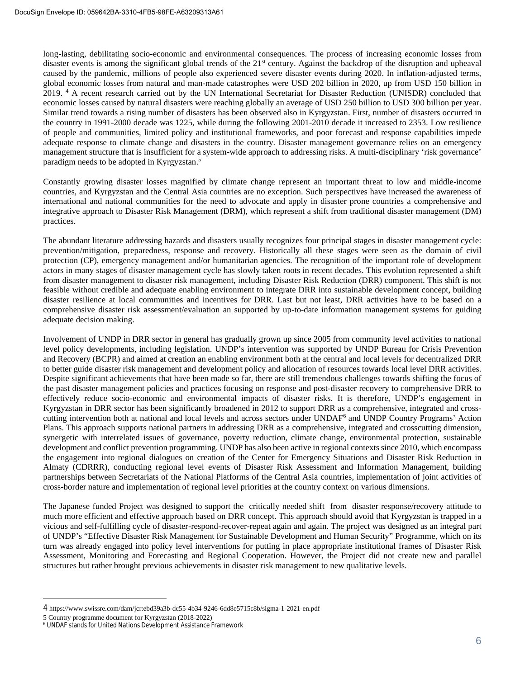long-lasting, debilitating socio-economic and environmental consequences. The process of increasing economic losses from disaster events is among the significant global trends of the 21<sup>st</sup> century. Against the backdrop of the disruption and upheaval caused by the pandemic, millions of people also experienced severe disaster events during 2020. In inflation-adjusted terms, global economic losses from natural and man-made catastrophes were USD 202 billion in 2020, up from USD 150 billion in 2019. <sup>4</sup> A recent research carried out by the UN International Secretariat for Disaster Reduction (UNISDR) concluded that economic losses caused by natural disasters were reaching globally an average of USD 250 billion to USD 300 billion per year. Similar trend towards a rising number of disasters has been observed also in Kyrgyzstan. First, number of disasters occurred in the country in 1991-2000 decade was 1225, while during the following 2001-2010 decade it increased to 2353. Low resilience of people and communities, limited policy and institutional frameworks, and poor forecast and response capabilities impede adequate response to climate change and disasters in the country. Disaster management governance relies on an emergency management structure that is insufficient for a system-wide approach to addressing risks. A multi-disciplinary 'risk governance' paradigm needs to be adopted in Kyrgyzstan. 5

Constantly growing disaster losses magnified by climate change represent an important threat to low and middle-income countries, and Kyrgyzstan and the Central Asia countries are no exception. Such perspectives have increased the awareness of international and national communities for the need to advocate and apply in disaster prone countries a comprehensive and integrative approach to Disaster Risk Management (DRM), which represent a shift from traditional disaster management (DM) practices.

The abundant literature addressing hazards and disasters usually recognizes four principal stages in disaster management cycle: prevention/mitigation, preparedness, response and recovery. Historically all these stages were seen as the domain of civil protection (CP), emergency management and/or humanitarian agencies. The recognition of the important role of development actors in many stages of disaster management cycle has slowly taken roots in recent decades. This evolution represented a shift from disaster management to disaster risk management, including Disaster Risk Reduction (DRR) component. This shift is not feasible without credible and adequate enabling environment to integrate DRR into sustainable development concept, building disaster resilience at local communities and incentives for DRR. Last but not least, DRR activities have to be based on a comprehensive disaster risk assessment/evaluation an supported by up-to-date information management systems for guiding adequate decision making.

Involvement of UNDP in DRR sector in general has gradually grown up since 2005 from community level activities to national level policy developments, including legislation. UNDP's intervention was supported by UNDP Bureau for Crisis Prevention and Recovery (BCPR) and aimed at creation an enabling environment both at the central and local levels for decentralized DRR to better guide disaster risk management and development policy and allocation of resources towards local level DRR activities. Despite significant achievements that have been made so far, there are still tremendous challenges towards shifting the focus of the past disaster management policies and practices focusing on response and post-disaster recovery to comprehensive DRR to effectively reduce socio-economic and environmental impacts of disaster risks. It is therefore, UNDP's engagement in Kyrgyzstan in DRR sector has been significantly broadened in 2012 to support DRR as a comprehensive, integrated and crosscutting intervention both at national and local levels and across sectors under UNDAF6 and UNDP Country Programs' Action Plans. This approach supports national partners in addressing DRR as a comprehensive, integrated and crosscutting dimension, synergetic with interrelated issues of governance, poverty reduction, climate change, environmental protection, sustainable development and conflict prevention programming. UNDP has also been active in regional contexts since 2010, which encompass the engagement into regional dialogues on creation of the Center for Emergency Situations and Disaster Risk Reduction in Almaty (CDRRR), conducting regional level events of Disaster Risk Assessment and Information Management, building partnerships between Secretariats of the National Platforms of the Central Asia countries, implementation of joint activities of cross-border nature and implementation of regional level priorities at the country context on various dimensions.

The Japanese funded Project was designed to support the critically needed shift from disaster response/recovery attitude to much more efficient and effective approach based on DRR concept. This approach should avoid that Kyrgyzstan is trapped in a vicious and self-fulfilling cycle of disaster-respond-recover-repeat again and again. The project was designed as an integral part of UNDP's "Effective Disaster Risk Management for Sustainable Development and Human Security" Programme, which on its turn was already engaged into policy level interventions for putting in place appropriate institutional frames of Disaster Risk Assessment, Monitoring and Forecasting and Regional Cooperation. However, the Project did not create new and parallel structures but rather brought previous achievements in disaster risk management to new qualitative levels.

<sup>4</sup> https://www.swissre.com/dam/jcr:ebd39a3b-dc55-4b34-9246-6dd8e5715c8b/sigma-1-2021-en.pdf

<sup>5</sup> Country programme document for Kyrgyzstan (2018-2022)

<sup>6</sup> UNDAF stands for United Nations Development Assistance Framework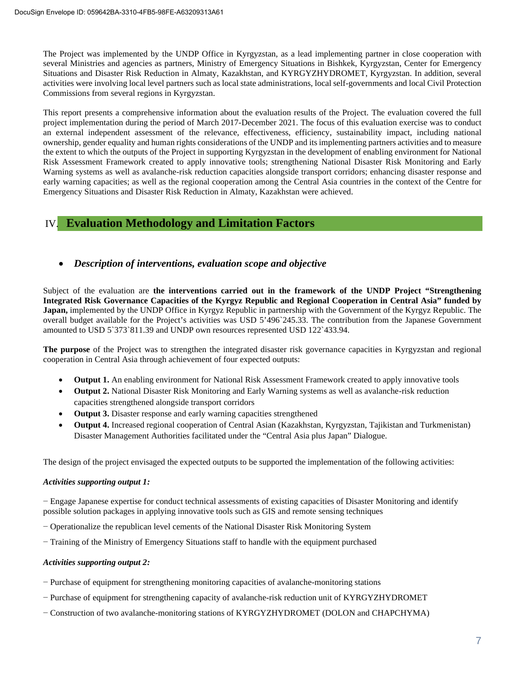The Project was implemented by the UNDP Office in Kyrgyzstan, as a lead implementing partner in close cooperation with several Ministries and agencies as partners, Ministry of Emergency Situations in Bishkek, Kyrgyzstan, Center for Emergency Situations and Disaster Risk Reduction in Almaty, Kazakhstan, and KYRGYZHYDROMET, Kyrgyzstan. In addition, several activities were involving local level partners such as local state administrations, local self-governments and local Civil Protection Commissions from several regions in Kyrgyzstan.

This report presents a comprehensive information about the evaluation results of the Project. The evaluation covered the full project implementation during the period of March 2017-December 2021. The focus of this evaluation exercise was to conduct an external independent assessment of the relevance, effectiveness, efficiency, sustainability impact, including national ownership, gender equality and human rights considerations of the UNDP and its implementing partners activities and to measure the extent to which the outputs of the Project in supporting Kyrgyzstan in the development of enabling environment for National Risk Assessment Framework created to apply innovative tools; strengthening National Disaster Risk Monitoring and Early Warning systems as well as avalanche-risk reduction capacities alongside transport corridors; enhancing disaster response and early warning capacities; as well as the regional cooperation among the Central Asia countries in the context of the Centre for Emergency Situations and Disaster Risk Reduction in Almaty, Kazakhstan were achieved.

## IV. **Evaluation Methodology and Limitation Factors**

## · *Description of interventions, evaluation scope and objective*

Subject of the evaluation are **the interventions carried out in the framework of the UNDP Project "Strengthening Integrated Risk Governance Capacities of the Kyrgyz Republic and Regional Cooperation in Central Asia" funded by Japan,** implemented by the UNDP Office in Kyrgyz Republic in partnership with the Government of the Kyrgyz Republic. The overall budget available for the Project's activities was USD 5'496`245.33. The contribution from the Japanese Government amounted to USD 5`373`811.39 and UNDP own resources represented USD 122`433.94.

**The purpose** of the Project was to strengthen the integrated disaster risk governance capacities in Kyrgyzstan and regional cooperation in Central Asia through achievement of four expected outputs:

- **Output 1.** An enabling environment for National Risk Assessment Framework created to apply innovative tools
- · **Output 2.** National Disaster Risk Monitoring and Early Warning systems as well as avalanche-risk reduction capacities strengthened alongside transport corridors
- **Output 3.** Disaster response and early warning capacities strengthened
- · **Output 4.** Increased regional cooperation of Central Asian (Kazakhstan, Kyrgyzstan, Tajikistan and Turkmenistan) Disaster Management Authorities facilitated under the "Central Asia plus Japan" Dialogue.

The design of the project envisaged the expected outputs to be supported the implementation of the following activities:

## *Activities supporting output 1:*

− Engage Japanese expertise for conduct technical assessments of existing capacities of Disaster Monitoring and identify possible solution packages in applying innovative tools such as GIS and remote sensing techniques

- − Operationalize the republican level cements of the National Disaster Risk Monitoring System
- − Training of the Ministry of Emergency Situations staff to handle with the equipment purchased

## *Activities supporting output 2:*

- − Purchase of equipment for strengthening monitoring capacities of avalanche-monitoring stations
- − Purchase of equipment for strengthening capacity of avalanche-risk reduction unit of KYRGYZHYDROMET
- − Construction of two avalanche-monitoring stations of KYRGYZHYDROMET (DOLON and CHAPCHYMA)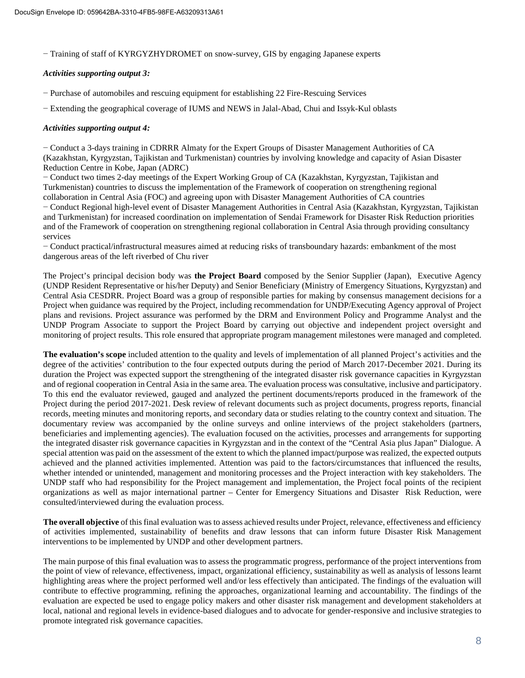− Training of staff of KYRGYZHYDROMET on snow-survey, GIS by engaging Japanese experts

## *Activities supporting output 3:*

− Purchase of automobiles and rescuing equipment for establishing 22 Fire-Rescuing Services

− Extending the geographical coverage of IUMS and NEWS in Jalal-Abad, Chui and Issyk-Kul oblasts

## *Activities supporting output 4:*

− Conduct a 3-days training in CDRRR Almaty for the Expert Groups of Disaster Management Authorities of CA (Kazakhstan, Kyrgyzstan, Tajikistan and Turkmenistan) countries by involving knowledge and capacity of Asian Disaster Reduction Centre in Kobe, Japan (ADRC)

− Conduct two times 2-day meetings of the Expert Working Group of CA (Kazakhstan, Kyrgyzstan, Tajikistan and Turkmenistan) countries to discuss the implementation of the Framework of cooperation on strengthening regional collaboration in Central Asia (FOC) and agreeing upon with Disaster Management Authorities of CA countries

− Conduct Regional high-level event of Disaster Management Authorities in Central Asia (Kazakhstan, Kyrgyzstan, Tajikistan and Turkmenistan) for increased coordination on implementation of Sendai Framework for Disaster Risk Reduction priorities and of the Framework of cooperation on strengthening regional collaboration in Central Asia through providing consultancy services

− Conduct practical/infrastructural measures aimed at reducing risks of transboundary hazards: embankment of the most dangerous areas of the left riverbed of Chu river

The Project's principal decision body was **the Project Board** composed by the Senior Supplier (Japan), Executive Agency (UNDP Resident Representative or his/her Deputy) and Senior Beneficiary (Ministry of Emergency Situations, Kyrgyzstan) and Central Asia CESDRR. Project Board was a group of responsible parties for making by consensus management decisions for a Project when guidance was required by the Project, including recommendation for UNDP/Executing Agency approval of Project plans and revisions. Project assurance was performed by the DRM and Environment Policy and Programme Analyst and the UNDP Program Associate to support the Project Board by carrying out objective and independent project oversight and monitoring of project results. This role ensured that appropriate program management milestones were managed and completed.

**The evaluation's scope** included attention to the quality and levels of implementation of all planned Project's activities and the degree of the activities' contribution to the four expected outputs during the period of March 2017-December 2021. During its duration the Project was expected support the strengthening of the integrated disaster risk governance capacities in Kyrgyzstan and of regional cooperation in Central Asia in the same area. The evaluation process was consultative, inclusive and participatory. To this end the evaluator reviewed, gauged and analyzed the pertinent documents/reports produced in the framework of the Project during the period 2017-2021. Desk review of relevant documents such as project documents, progress reports, financial records, meeting minutes and monitoring reports, and secondary data or studies relating to the country context and situation. The documentary review was accompanied by the online surveys and online interviews of the project stakeholders (partners, beneficiaries and implementing agencies). The evaluation focused on the activities, processes and arrangements for supporting the integrated disaster risk governance capacities in Kyrgyzstan and in the context of the "Central Asia plus Japan" Dialogue. A special attention was paid on the assessment of the extent to which the planned impact/purpose was realized, the expected outputs achieved and the planned activities implemented. Attention was paid to the factors/circumstances that influenced the results, whether intended or unintended, management and monitoring processes and the Project interaction with key stakeholders. The UNDP staff who had responsibility for the Project management and implementation, the Project focal points of the recipient organizations as well as major international partner – Center for Emergency Situations and Disaster Risk Reduction, were consulted/interviewed during the evaluation process.

**The overall objective** of this final evaluation was to assess achieved results under Project, relevance, effectiveness and efficiency of activities implemented, sustainability of benefits and draw lessons that can inform future Disaster Risk Management interventions to be implemented by UNDP and other development partners.

The main purpose of this final evaluation was to assess the programmatic progress, performance of the project interventions from the point of view of relevance, effectiveness, impact, organizational efficiency, sustainability as well as analysis of lessons learnt highlighting areas where the project performed well and/or less effectively than anticipated. The findings of the evaluation will contribute to effective programming, refining the approaches, organizational learning and accountability. The findings of the evaluation are expected be used to engage policy makers and other disaster risk management and development stakeholders at local, national and regional levels in evidence-based dialogues and to advocate for gender-responsive and inclusive strategies to promote integrated risk governance capacities.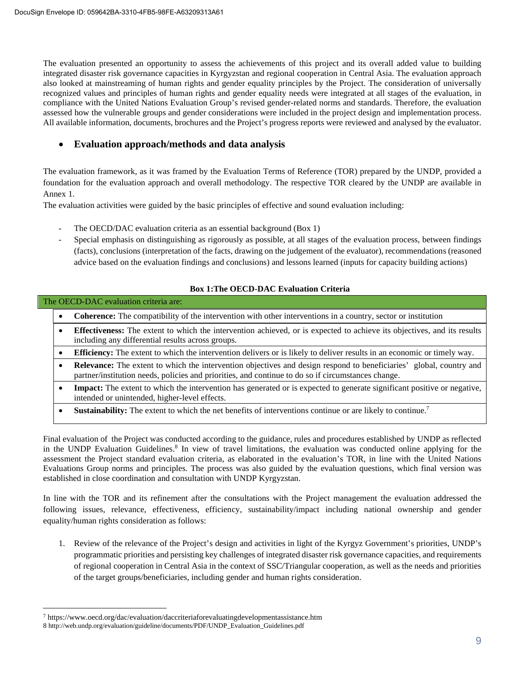The evaluation presented an opportunity to assess the achievements of this project and its overall added value to building integrated disaster risk governance capacities in Kyrgyzstan and regional cooperation in Central Asia. The evaluation approach also looked at mainstreaming of human rights and gender equality principles by the Project. The consideration of universally recognized values and principles of human rights and gender equality needs were integrated at all stages of the evaluation, in compliance with the United Nations Evaluation Group's revised gender-related norms and standards. Therefore, the evaluation assessed how the vulnerable groups and gender considerations were included in the project design and implementation process. All available information, documents, brochures and the Project's progress reports were reviewed and analysed by the evaluator.

## · **Evaluation approach/methods and data analysis**

The evaluation framework, as it was framed by the Evaluation Terms of Reference (TOR) prepared by the UNDP, provided a foundation for the evaluation approach and overall methodology. The respective TOR cleared by the UNDP are available in Annex 1.

The evaluation activities were guided by the basic principles of effective and sound evaluation including:

- The OECD/DAC evaluation criteria as an essential background (Box 1)
- Special emphasis on distinguishing as rigorously as possible, at all stages of the evaluation process, between findings (facts), conclusions (interpretation of the facts, drawing on the judgement of the evaluator), recommendations (reasoned advice based on the evaluation findings and conclusions) and lessons learned (inputs for capacity building actions)

## **Box 1:The OECD-DAC Evaluation Criteria**

#### The OECD-DAC evaluation criteria are:

- **Coherence:** The compatibility of the intervention with other interventions in a country, sector or institution
- · **Effectiveness:** The extent to which the intervention achieved, or is expected to achieve its objectives, and its results including any differential results across groups.
- · **Efficiency:** The extent to which the intervention delivers or is likely to deliver results in an economic or timely way.
- · **Relevance:** The extent to which the intervention objectives and design respond to beneficiaries' global, country and partner/institution needs, policies and priorities, and continue to do so if circumstances change.
- **Impact:** The extent to which the intervention has generated or is expected to generate significant positive or negative, intended or unintended, higher-level effects.
- **Sustainability:** The extent to which the net benefits of interventions continue or are likely to continue.<sup>7</sup>

Final evaluation of the Project was conducted according to the guidance, rules and procedures established by UNDP as reflected in the UNDP Evaluation Guidelines.<sup>8</sup> In view of travel limitations, the evaluation was conducted online applying for the assessment the Project standard evaluation criteria, as elaborated in the evaluation's TOR, in line with the United Nations Evaluations Group norms and principles. The process was also guided by the evaluation questions, which final version was established in close coordination and consultation with UNDP Kyrgyzstan.

In line with the TOR and its refinement after the consultations with the Project management the evaluation addressed the following issues, relevance, effectiveness, efficiency, sustainability/impact including national ownership and gender equality/human rights consideration as follows:

1. Review of the relevance of the Project's design and activities in light of the Kyrgyz Government's priorities, UNDP's programmatic priorities and persisting key challenges of integrated disaster risk governance capacities, and requirements of regional cooperation in Central Asia in the context of SSC/Triangular cooperation, as well as the needs and priorities of the target groups/beneficiaries, including gender and human rights consideration.

<sup>7</sup> https://www.oecd.org/dac/evaluation/daccriteriaforevaluatingdevelopmentassistance.htm

<sup>8</sup> http://web.undp.org/evaluation/guideline/documents/PDF/UNDP\_Evaluation\_Guidelines.pdf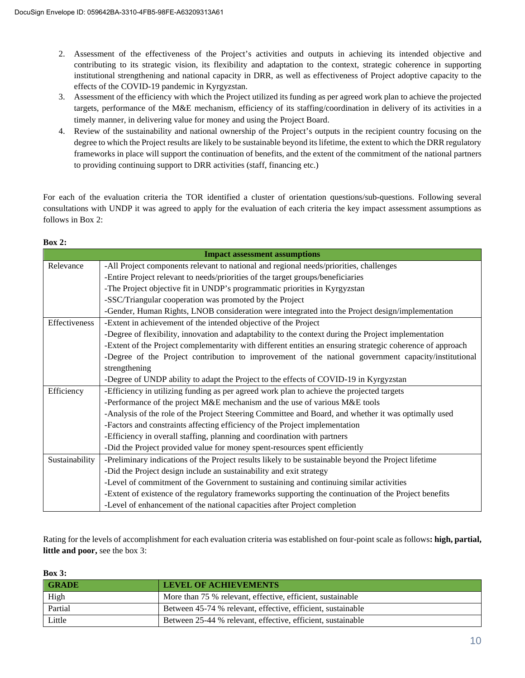- 2. Assessment of the effectiveness of the Project's activities and outputs in achieving its intended objective and contributing to its strategic vision, its flexibility and adaptation to the context, strategic coherence in supporting institutional strengthening and national capacity in DRR, as well as effectiveness of Project adoptive capacity to the effects of the COVID-19 pandemic in Kyrgyzstan.
- 3. Assessment of the efficiency with which the Project utilized its funding as per agreed work plan to achieve the projected targets, performance of the M&E mechanism, efficiency of its staffing/coordination in delivery of its activities in a timely manner, in delivering value for money and using the Project Board.
- 4. Review of the sustainability and national ownership of the Project's outputs in the recipient country focusing on the degree to which the Project results are likely to be sustainable beyond its lifetime, the extent to which the DRR regulatory frameworks in place will support the continuation of benefits, and the extent of the commitment of the national partners to providing continuing support to DRR activities (staff, financing etc.)

For each of the evaluation criteria the TOR identified a cluster of orientation questions/sub-questions. Following several consultations with UNDP it was agreed to apply for the evaluation of each criteria the key impact assessment assumptions as follows in Box 2:

| <b>Impact assessment assumptions</b> |                                                                                                            |  |  |
|--------------------------------------|------------------------------------------------------------------------------------------------------------|--|--|
| Relevance                            | -All Project components relevant to national and regional needs/priorities, challenges                     |  |  |
|                                      | -Entire Project relevant to needs/priorities of the target groups/beneficiaries                            |  |  |
|                                      | -The Project objective fit in UNDP's programmatic priorities in Kyrgyzstan                                 |  |  |
|                                      | -SSC/Triangular cooperation was promoted by the Project                                                    |  |  |
|                                      | -Gender, Human Rights, LNOB consideration were integrated into the Project design/implementation           |  |  |
| Effectiveness                        | -Extent in achievement of the intended objective of the Project                                            |  |  |
|                                      | -Degree of flexibility, innovation and adaptability to the context during the Project implementation       |  |  |
|                                      | -Extent of the Project complementarity with different entities an ensuring strategic coherence of approach |  |  |
|                                      | -Degree of the Project contribution to improvement of the national government capacity/institutional       |  |  |
|                                      | strengthening                                                                                              |  |  |
|                                      | -Degree of UNDP ability to adapt the Project to the effects of COVID-19 in Kyrgyzstan                      |  |  |
| Efficiency                           | -Efficiency in utilizing funding as per agreed work plan to achieve the projected targets                  |  |  |
|                                      | -Performance of the project M&E mechanism and the use of various M&E tools                                 |  |  |
|                                      | -Analysis of the role of the Project Steering Committee and Board, and whether it was optimally used       |  |  |
|                                      | -Factors and constraints affecting efficiency of the Project implementation                                |  |  |
|                                      | -Efficiency in overall staffing, planning and coordination with partners                                   |  |  |
|                                      | -Did the Project provided value for money spent-resources spent efficiently                                |  |  |
| Sustainability                       | -Preliminary indications of the Project results likely to be sustainable beyond the Project lifetime       |  |  |
|                                      | -Did the Project design include an sustainability and exit strategy                                        |  |  |
|                                      | -Level of commitment of the Government to sustaining and continuing similar activities                     |  |  |
|                                      | -Extent of existence of the regulatory frameworks supporting the continuation of the Project benefits      |  |  |
|                                      | -Level of enhancement of the national capacities after Project completion                                  |  |  |

## **Box 2:**

Rating for the levels of accomplishment for each evaluation criteria was established on four-point scale as follows**: high, partial, little and poor,** see the box 3:

**Box 3:**

| <b>GRADE</b> | <b>LEVEL OF ACHIEVEMENTS</b>                                |
|--------------|-------------------------------------------------------------|
| High         | More than 75 % relevant, effective, efficient, sustainable  |
| Partial      | Between 45-74 % relevant, effective, efficient, sustainable |
| Little       | Between 25-44 % relevant, effective, efficient, sustainable |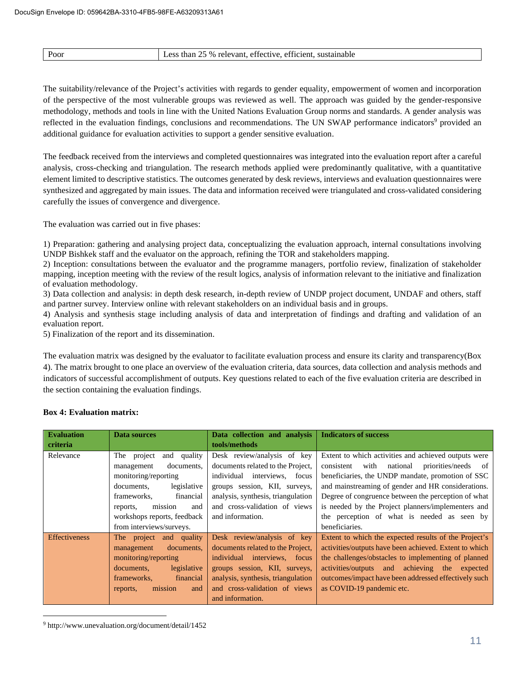| Poor<br>$\sim$ $\sim$ $\sim$ | $\sim$ $\sim$<br><sup>-</sup> % relevant.<br>sustainable<br>than<br>ess<br>. eff1c1ent.<br>effective.<br>. |
|------------------------------|------------------------------------------------------------------------------------------------------------|

The suitability/relevance of the Project's activities with regards to gender equality, empowerment of women and incorporation of the perspective of the most vulnerable groups was reviewed as well. The approach was guided by the gender-responsive methodology, methods and tools in line with the United Nations Evaluation Group norms and standards. A gender analysis was reflected in the evaluation findings, conclusions and recommendations. The UN SWAP performance indicators<sup>9</sup> provided an additional guidance for evaluation activities to support a gender sensitive evaluation.

The feedback received from the interviews and completed questionnaires was integrated into the evaluation report after a careful analysis, cross-checking and triangulation. The research methods applied were predominantly qualitative, with a quantitative element limited to descriptive statistics. The outcomes generated by desk reviews, interviews and evaluation questionnaires were synthesized and aggregated by main issues. The data and information received were triangulated and cross-validated considering carefully the issues of convergence and divergence.

The evaluation was carried out in five phases:

1) Preparation: gathering and analysing project data, conceptualizing the evaluation approach, internal consultations involving UNDP Bishkek staff and the evaluator on the approach, refining the TOR and stakeholders mapping.

2) Inception: consultations between the evaluator and the programme managers, portfolio review, finalization of stakeholder mapping, inception meeting with the review of the result logics, analysis of information relevant to the initiative and finalization of evaluation methodology.

3) Data collection and analysis: in depth desk research, in-depth review of UNDP project document, UNDAF and others, staff and partner survey. Interview online with relevant stakeholders on an individual basis and in groups.

4) Analysis and synthesis stage including analysis of data and interpretation of findings and drafting and validation of an evaluation report.

5) Finalization of the report and its dissemination.

The evaluation matrix was designed by the evaluator to facilitate evaluation process and ensure its clarity and transparency(Box 4). The matrix brought to one place an overview of the evaluation criteria, data sources, data collection and analysis methods and indicators of successful accomplishment of outputs. Key questions related to each of the five evaluation criteria are described in the section containing the evaluation findings.

|  | <b>Box 4: Evaluation matrix:</b> |  |
|--|----------------------------------|--|
|--|----------------------------------|--|

| <b>Evaluation</b>    | Data sources                     | Data collection and analysis       | <b>Indicators of success</b>                           |
|----------------------|----------------------------------|------------------------------------|--------------------------------------------------------|
| criteria             |                                  | tools/methods                      |                                                        |
| Relevance            | project<br>quality<br>The<br>and | Desk review/analysis of key        | Extent to which activities and achieved outputs were   |
|                      | documents,<br>management         | documents related to the Project,  | priorities/needs of<br>with<br>national<br>consistent  |
|                      | monitoring/reporting             | interviews, focus<br>individual    | beneficiaries, the UNDP mandate, promotion of SSC      |
|                      | documents,<br>legislative        | groups session, KII, surveys,      | and mainstreaming of gender and HR considerations.     |
|                      | financial<br>frameworks,         | analysis, synthesis, triangulation | Degree of congruence between the perception of what    |
|                      | mission<br>and<br>reports,       | and cross-validation of views      | is needed by the Project planners/implementers and     |
|                      | workshops reports, feedback      | and information.                   | the perception of what is needed as seen by            |
|                      | from interviews/surveys.         |                                    | beneficiaries.                                         |
| <b>Effectiveness</b> | The project and quality          | Desk review/analysis of key        | Extent to which the expected results of the Project's  |
|                      | documents,<br>management         | documents related to the Project,  | activities/outputs have been achieved. Extent to which |
|                      | monitoring/reporting             | interviews, focus<br>individual    | the challenges/obstacles to implementing of planned    |
|                      | legislative<br>documents.        | groups session, KII, surveys,      | activities/outputs and achieving the expected          |
|                      | frameworks,<br>financial         | analysis, synthesis, triangulation | outcomes/impact have been addressed effectively such   |
|                      | mission<br>reports,<br>and       | and cross-validation of views      | as COVID-19 pandemic etc.                              |
|                      |                                  | and information.                   |                                                        |

<sup>9</sup> http://www.unevaluation.org/document/detail/1452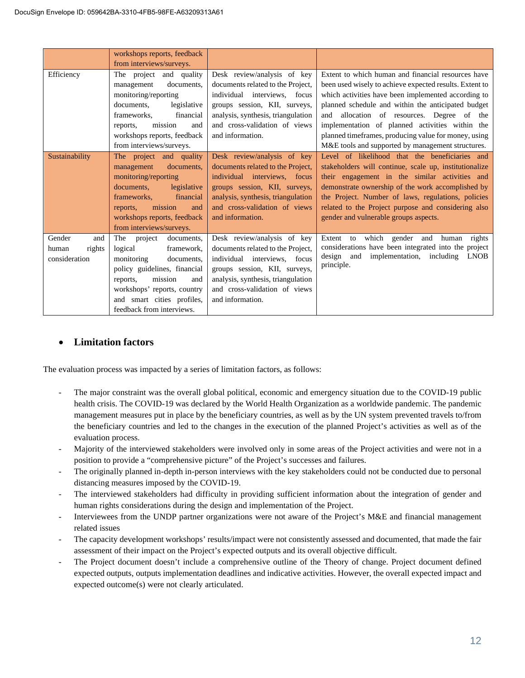|                                                   | workshops reports, feedback<br>from interviews/surveys.                                                                                                                                                                                   |                                                                                                                                                                                                                              |                                                                                                                                                                                                                                                                                                                                                                                                                                          |
|---------------------------------------------------|-------------------------------------------------------------------------------------------------------------------------------------------------------------------------------------------------------------------------------------------|------------------------------------------------------------------------------------------------------------------------------------------------------------------------------------------------------------------------------|------------------------------------------------------------------------------------------------------------------------------------------------------------------------------------------------------------------------------------------------------------------------------------------------------------------------------------------------------------------------------------------------------------------------------------------|
| Efficiency                                        | The project and quality<br>documents.<br>management<br>monitoring/reporting<br>documents,<br>legislative<br>frameworks.<br>financial<br>mission<br>reports,<br>and<br>workshops reports, feedback<br>from interviews/surveys.             | Desk review/analysis of key<br>documents related to the Project.<br>individual interviews, focus<br>groups session, KII, surveys,<br>analysis, synthesis, triangulation<br>and cross-validation of views<br>and information. | Extent to which human and financial resources have<br>been used wisely to achieve expected results. Extent to<br>which activities have been implemented according to<br>planned schedule and within the anticipated budget<br>and allocation of resources. Degree of the<br>implementation of planned activities within the<br>planned timeframes, producing value for money, using<br>M&E tools and supported by management structures. |
| Sustainability                                    | The project and quality<br>documents,<br>management<br>monitoring/reporting<br>legislative<br>documents,<br>frameworks.<br>financial<br>mission<br>reports,<br>and<br>workshops reports, feedback<br>from interviews/surveys.             | Desk review/analysis of key<br>documents related to the Project.<br>individual interviews, focus<br>groups session, KII, surveys,<br>analysis, synthesis, triangulation<br>and cross-validation of views<br>and information. | Level of likelihood that the beneficiaries and<br>stakeholders will continue, scale up, institutionalize<br>their engagement in the similar activities and<br>demonstrate ownership of the work accomplished by<br>the Project. Number of laws, regulations, policies<br>related to the Project purpose and considering also<br>gender and vulnerable groups aspects.                                                                    |
| Gender<br>and<br>rights<br>human<br>consideration | The<br>project<br>documents,<br>logical<br>framework,<br>monitoring<br>documents,<br>policy guidelines, financial<br>reports,<br>mission<br>and<br>workshops' reports, country<br>and smart cities profiles,<br>feedback from interviews. | Desk review/analysis of key<br>documents related to the Project,<br>individual interviews, focus<br>groups session, KII, surveys,<br>analysis, synthesis, triangulation<br>and cross-validation of views<br>and information. | which gender<br>Extent to<br>and<br>rights<br>human<br>considerations have been integrated into the project<br>design<br>implementation, including<br><b>LNOB</b><br>and<br>principle.                                                                                                                                                                                                                                                   |

## · **Limitation factors**

The evaluation process was impacted by a series of limitation factors, as follows:

- The major constraint was the overall global political, economic and emergency situation due to the COVID-19 public health crisis. The COVID-19 was declared by the World Health Organization as a worldwide pandemic. The pandemic management measures put in place by the beneficiary countries, as well as by the UN system prevented travels to/from the beneficiary countries and led to the changes in the execution of the planned Project's activities as well as of the evaluation process.
- Majority of the interviewed stakeholders were involved only in some areas of the Project activities and were not in a position to provide a "comprehensive picture" of the Project's successes and failures.
- The originally planned in-depth in-person interviews with the key stakeholders could not be conducted due to personal distancing measures imposed by the COVID-19.
- The interviewed stakeholders had difficulty in providing sufficient information about the integration of gender and human rights considerations during the design and implementation of the Project.
- Interviewees from the UNDP partner organizations were not aware of the Project's M&E and financial management related issues
- The capacity development workshops' results/impact were not consistently assessed and documented, that made the fair assessment of their impact on the Project's expected outputs and its overall objective difficult.
- The Project document doesn't include a comprehensive outline of the Theory of change. Project document defined expected outputs, outputs implementation deadlines and indicative activities. However, the overall expected impact and expected outcome(s) were not clearly articulated.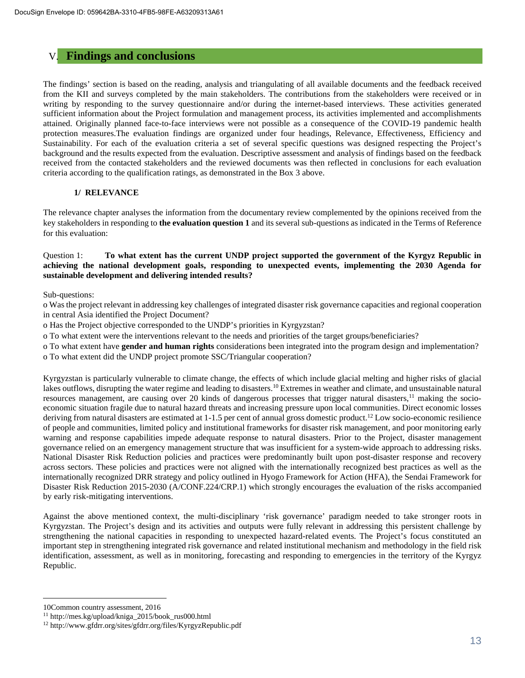## V. **Findings and conclusions**

The findings' section is based on the reading, analysis and triangulating of all available documents and the feedback received from the KII and surveys completed by the main stakeholders. The contributions from the stakeholders were received or in writing by responding to the survey questionnaire and/or during the internet-based interviews. These activities generated sufficient information about the Project formulation and management process, its activities implemented and accomplishments attained. Originally planned face-to-face interviews were not possible as a consequence of the COVID-19 pandemic health protection measures.The evaluation findings are organized under four headings, Relevance, Effectiveness, Efficiency and Sustainability. For each of the evaluation criteria a set of several specific questions was designed respecting the Project's background and the results expected from the evaluation. Descriptive assessment and analysis of findings based on the feedback received from the contacted stakeholders and the reviewed documents was then reflected in conclusions for each evaluation criteria according to the qualification ratings, as demonstrated in the Box 3 above.

#### **1/ RELEVANCE**

The relevance chapter analyses the information from the documentary review complemented by the opinions received from the key stakeholders in responding to **the evaluation question 1** and its several sub-questions as indicated in the Terms of Reference for this evaluation:

Question 1: **To what extent has the current UNDP project supported the government of the Kyrgyz Republic in achieving the national development goals, responding to unexpected events, implementing the 2030 Agenda for sustainable development and delivering intended results?**

Sub-questions:

o Was the project relevant in addressing key challenges of integrated disaster risk governance capacities and regional cooperation in central Asia identified the Project Document?

o Has the Project objective corresponded to the UNDP's priorities in Kyrgyzstan?

o To what extent were the interventions relevant to the needs and priorities of the target groups/beneficiaries?

o To what extent have **gender and human rights** considerations been integrated into the program design and implementation?

o To what extent did the UNDP project promote SSC/Triangular cooperation?

Kyrgyzstan is particularly vulnerable to climate change, the effects of which include glacial melting and higher risks of glacial lakes outflows, disrupting the water regime and leading to disasters.<sup>10</sup> Extremes in weather and climate, and unsustainable natural resources management, are causing over 20 kinds of dangerous processes that trigger natural disasters,<sup>11</sup> making the socioeconomic situation fragile due to natural hazard threats and increasing pressure upon local communities. Direct economic losses deriving from natural disasters are estimated at  $1-1.5$  per cent of annual gross domestic product.<sup>12</sup> Low socio-economic resilience of people and communities, limited policy and institutional frameworks for disaster risk management, and poor monitoring early warning and response capabilities impede adequate response to natural disasters. Prior to the Project, disaster management governance relied on an emergency management structure that was insufficient for a system-wide approach to addressing risks. National Disaster Risk Reduction policies and practices were predominantly built upon post-disaster response and recovery across sectors. These policies and practices were not aligned with the internationally recognized best practices as well as the internationally recognized DRR strategy and policy outlined in Hyogo Framework for Action (HFA), the Sendai Framework for Disaster Risk Reduction 2015-2030 (A/CONF.224/CRP.1) which strongly encourages the evaluation of the risks accompanied by early risk-mitigating interventions.

Against the above mentioned context, the multi-disciplinary 'risk governance' paradigm needed to take stronger roots in Kyrgyzstan. The Project's design and its activities and outputs were fully relevant in addressing this persistent challenge by strengthening the national capacities in responding to unexpected hazard-related events. The Project's focus constituted an important step in strengthening integrated risk governance and related institutional mechanism and methodology in the field risk identification, assessment, as well as in monitoring, forecasting and responding to emergencies in the territory of the Kyrgyz Republic.

10Common country assessment, 2016

<sup>11</sup> http://mes.kg/upload/kniga\_2015/book\_rus000.html

<sup>12</sup> http://www.gfdrr.org/sites/gfdrr.org/files/KyrgyzRepublic.pdf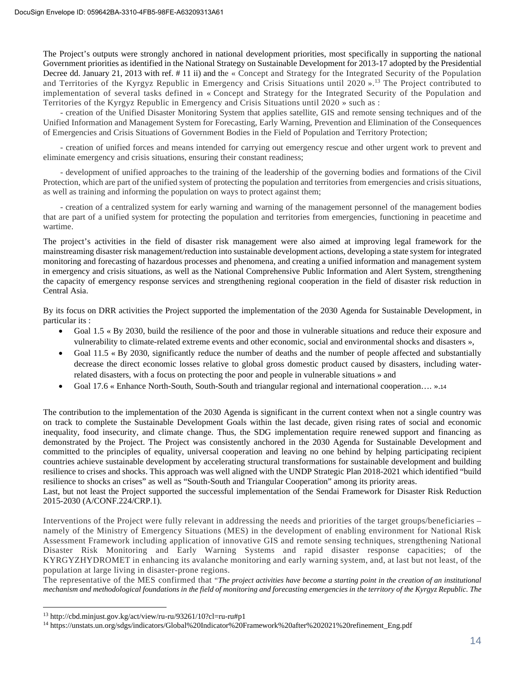The Project's outputs were strongly anchored in national development priorities, most specifically in supporting the national Government priorities as identified in the National Strategy on Sustainable Development for 2013-17 adopted by the Presidential Decree dd. January 21, 2013 with ref. # 11 ii) and the « Concept and Strategy for the Integrated Security of the Population and Territories of the Kyrgyz Republic in Emergency and Crisis Situations until 2020  $\mu$ .<sup>13</sup> The Project contributed to implementation of several tasks defined in « Concept and Strategy for the Integrated Security of the Population and Territories of the Kyrgyz Republic in Emergency and Crisis Situations until 2020 » such as :

- creation of the Unified Disaster Monitoring System that applies satellite, GIS and remote sensing techniques and of the Unified Information and Management System for Forecasting, Early Warning, Prevention and Elimination of the Consequences of Emergencies and Crisis Situations of Government Bodies in the Field of Population and Territory Protection;

- creation of unified forces and means intended for carrying out emergency rescue and other urgent work to prevent and eliminate emergency and crisis situations, ensuring their constant readiness;

- development of unified approaches to the training of the leadership of the governing bodies and formations of the Civil Protection, which are part of the unified system of protecting the population and territories from emergencies and crisis situations, as well as training and informing the population on ways to protect against them;

- creation of a centralized system for early warning and warning of the management personnel of the management bodies that are part of a unified system for protecting the population and territories from emergencies, functioning in peacetime and wartime.

The project's activities in the field of disaster risk management were also aimed at improving legal framework for the mainstreaming disaster risk management/reduction into sustainable development actions, developing a state system for integrated monitoring and forecasting of hazardous processes and phenomena, and creating a unified information and management system in emergency and crisis situations, as well as the National Comprehensive Public Information and Alert System, strengthening the capacity of emergency response services and strengthening regional cooperation in the field of disaster risk reduction in Central Asia.

By its focus on DRR activities the Project supported the implementation of the 2030 Agenda for Sustainable Development, in particular its :

- Goal 1.5 « By 2030, build the resilience of the poor and those in vulnerable situations and reduce their exposure and vulnerability to climate-related extreme events and other economic, social and environmental shocks and disasters »,
- Goal 11.5 « By 2030, significantly reduce the number of deaths and the number of people affected and substantially decrease the direct economic losses relative to global gross domestic product caused by disasters, including waterrelated disasters, with a focus on protecting the poor and people in vulnerable situations » and
- Goal 17.6 « Enhance North-South, South-South and triangular regional and international cooperation…. ».14

The contribution to the implementation of the 2030 Agenda is significant in the current context when not a single country was on track to complete the Sustainable Development Goals within the last decade, given rising rates of social and economic inequality, food insecurity, and climate change. Thus, the SDG implementation require renewed support and financing as demonstrated by the Project. The Project was consistently anchored in the 2030 Agenda for Sustainable Development and committed to the principles of equality, universal cooperation and leaving no one behind by helping participating recipient countries achieve sustainable development by accelerating structural transformations for sustainable development and building resilience to crises and shocks. This approach was well aligned with the UNDP Strategic Plan 2018-2021 which identified "build resilience to shocks an crises" as well as "South-South and Triangular Cooperation" among its priority areas. Last, but not least the Project supported the successful implementation of the Sendai Framework for Disaster Risk Reduction 2015-2030 (A/CONF.224/CRP.1).

Interventions of the Project were fully relevant in addressing the needs and priorities of the target groups/beneficiaries – namely of the Ministry of Emergency Situations (MES) in the development of enabling environment for National Risk Assessment Framework including application of innovative GIS and remote sensing techniques, strengthening National Disaster Risk Monitoring and Early Warning Systems and rapid disaster response capacities; of the KYRGYZHYDROMET in enhancing its avalanche monitoring and early warning system, and, at last but not least, of the population at large living in disaster-prone regions.

The representative of the MES confirmed that "*The project activities have become a starting point in the creation of an institutional mechanism and methodological foundations in the field of monitoring and forecasting emergencies in the territory of the Kyrgyz Republic. The*

<sup>13</sup> http://cbd.minjust.gov.kg/act/view/ru-ru/93261/10?cl=ru-ru#p1

<sup>14</sup> https://unstats.un.org/sdgs/indicators/Global%20Indicator%20Framework%20after%202021%20refinement\_Eng.pdf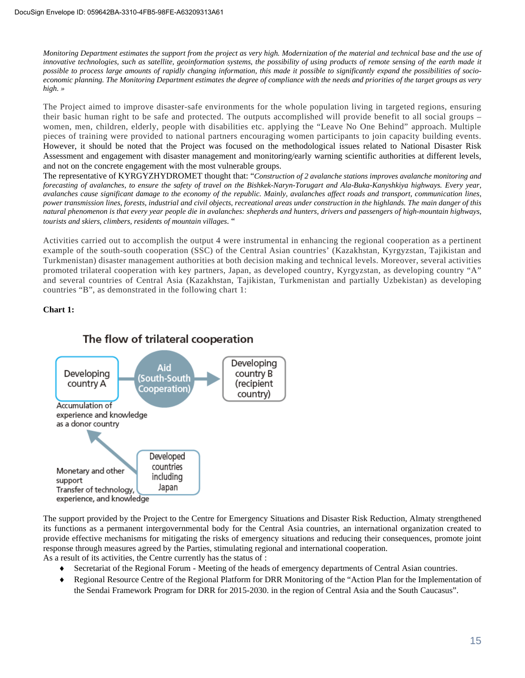*Monitoring Department estimates the support from the project as very high. Modernization of the material and technical base and the use of innovative technologies, such as satellite, geoinformation systems, the possibility of using products of remote sensing of the earth made it possible to process large amounts of rapidly changing information, this made it possible to significantly expand the possibilities of socioeconomic planning. The Monitoring Department estimates the degree of compliance with the needs and priorities of the target groups as very high. »*

The Project aimed to improve disaster-safe environments for the whole population living in targeted regions, ensuring their basic human right to be safe and protected. The outputs accomplished will provide benefit to all social groups – women, men, children, elderly, people with disabilities etc. applying the "Leave No One Behind" approach. Multiple pieces of training were provided to national partners encouraging women participants to join capacity building events. However, it should be noted that the Project was focused on the methodological issues related to National Disaster Risk Assessment and engagement with disaster management and monitoring/early warning scientific authorities at different levels, and not on the concrete engagement with the most vulnerable groups.

The representative of KYRGYZHYDROMET thought that: "*Construction of 2 avalanche stations improves avalanche monitoring and forecasting of avalanches, to ensure the safety of travel on the Bishkek-Naryn-Torugart and Ala-Buka-Kanyshkiya highways. Every year, avalanches cause significant damage to the economy of the republic. Mainly, avalanches affect roads and transport, communication lines, power transmission lines, forests, industrial and civil objects, recreational areas under construction in the highlands. The main danger of this natural phenomenon is that every year people die in avalanches: shepherds and hunters, drivers and passengers of high-mountain highways, tourists and skiers, climbers, residents of mountain villages*. "

Activities carried out to accomplish the output 4 were instrumental in enhancing the regional cooperation as a pertinent example of the south-south cooperation (SSC) of the Central Asian countries' (Kazakhstan, Kyrgyzstan, Tajikistan and Turkmenistan) disaster management authorities at both decision making and technical levels. Moreover, several activities promoted trilateral cooperation with key partners, Japan, as developed country, Kyrgyzstan, as developing country "A" and several countries of Central Asia (Kazakhstan, Tajikistan, Turkmenistan and partially Uzbekistan) as developing countries "B", as demonstrated in the following chart 1:

**Chart 1:**



The support provided by the Project to the Centre for Emergency Situations and Disaster Risk Reduction, Almaty strengthened its functions as a permanent intergovernmental body for the Central Asia countries, an international organization created to provide effective mechanisms for mitigating the risks of emergency situations and reducing their consequences, promote joint response through measures agreed by the Parties, stimulating regional and international cooperation.

As a result of its activities, the Centre currently has the status of :

- Secretariat of the Regional Forum Meeting of the heads of emergency departments of Central Asian countries.
- ◆ Regional Resource Centre of the Regional Platform for DRR Monitoring of the "Action Plan for the Implementation of the Sendai Framework Program for DRR for 2015-2030. in the region of Central Asia and the South Caucasus".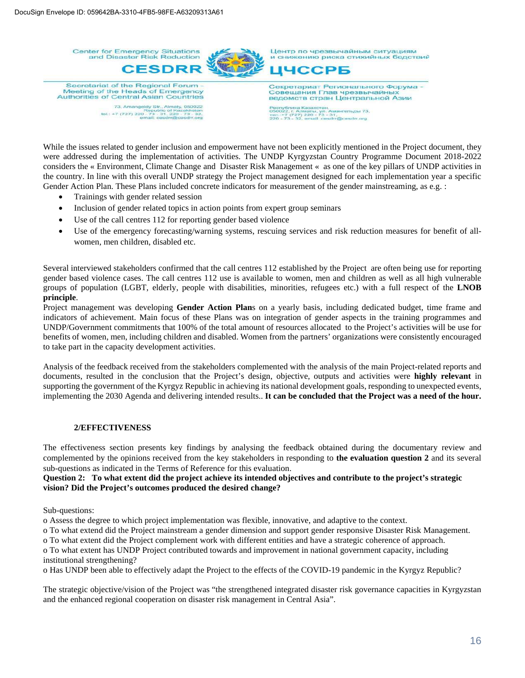**Center for Emergency Situations**<br>and Disaster Risk Reduction Центр по чрезвычайным ситуациям центр по чрезвычайным ситуациям<br>и снижению риска стихийных бедствий **CESDRF ІЧССРБ** Secretariat of the Regional Forum Секретариат Регионального Форума -Meeting of the Heads of Emergency<br>Authorities of Central Asian Countries Совещания Глав чрезвычайны ведомств стран Центральной Азии 73, Amangeldy Str., Almaty, 050022<br>73, Amangeldy Str., Almaty, 050022<br>101,: +7 (727) 220<sup>12</sup>72-311 concretional 32, 122, r. Anmarei, yri. Am<br>+7 (727) 220 - 73 - 31<br>- 73 - 32, email: cesdrr *«гельды 73* 

While the issues related to gender inclusion and empowerment have not been explicitly mentioned in the Project document, they were addressed during the implementation of activities. The UNDP Kyrgyzstan Country Programme Document 2018-2022 considers the « Environment, Climate Change and Disaster Risk Management « as one of the key pillars of UNDP activities in the country. In line with this overall UNDP strategy the Project management designed for each implementation year a specific Gender Action Plan. These Plans included concrete indicators for measurement of the gender mainstreaming, as e.g. :

- · Trainings with gender related session
- · Inclusion of gender related topics in action points from expert group seminars
- · Use of the call centres 112 for reporting gender based violence
- · Use of the emergency forecasting/warning systems, rescuing services and risk reduction measures for benefit of allwomen, men children, disabled etc.

Several interviewed stakeholders confirmed that the call centres 112 established by the Project are often being use for reporting gender based violence cases. The call centres 112 use is available to women, men and children as well as all high vulnerable groups of population (LGBT, elderly, people with disabilities, minorities, refugees etc.) with a full respect of the **LNOB principle**.

Project management was developing **Gender Action Plan**s on a yearly basis, including dedicated budget, time frame and indicators of achievement. Main focus of these Plans was on integration of gender aspects in the training programmes and UNDP/Government commitments that 100% of the total amount of resources allocated to the Project's activities will be use for benefits of women, men, including children and disabled. Women from the partners' organizations were consistently encouraged to take part in the capacity development activities.

Analysis of the feedback received from the stakeholders complemented with the analysis of the main Project-related reports and documents, resulted in the conclusion that the Project's design, objective, outputs and activities were **highly relevant** in supporting the government of the Kyrgyz Republic in achieving its national development goals, responding to unexpected events, implementing the 2030 Agenda and delivering intended results.. **It can be concluded that the Project was a need of the hour.**

#### **2/EFFECTIVENESS**

The effectiveness section presents key findings by analysing the feedback obtained during the documentary review and complemented by the opinions received from the key stakeholders in responding to **the evaluation question 2** and its several sub-questions as indicated in the Terms of Reference for this evaluation.

#### **Question 2: To what extent did the project achieve its intended objectives and contribute to the project's strategic vision? Did the Project's outcomes produced the desired change?**

Sub-questions:

o Assess the degree to which project implementation was flexible, innovative, and adaptive to the context.

o To what extend did the Project mainstream a gender dimension and support gender responsive Disaster Risk Management.

o To what extent did the Project complement work with different entities and have a strategic coherence of approach. o To what extent has UNDP Project contributed towards and improvement in national government capacity, including

institutional strengthening?

o Has UNDP been able to effectively adapt the Project to the effects of the COVID-19 pandemic in the Kyrgyz Republic?

The strategic objective/vision of the Project was "the strengthened integrated disaster risk governance capacities in Kyrgyzstan and the enhanced regional cooperation on disaster risk management in Central Asia".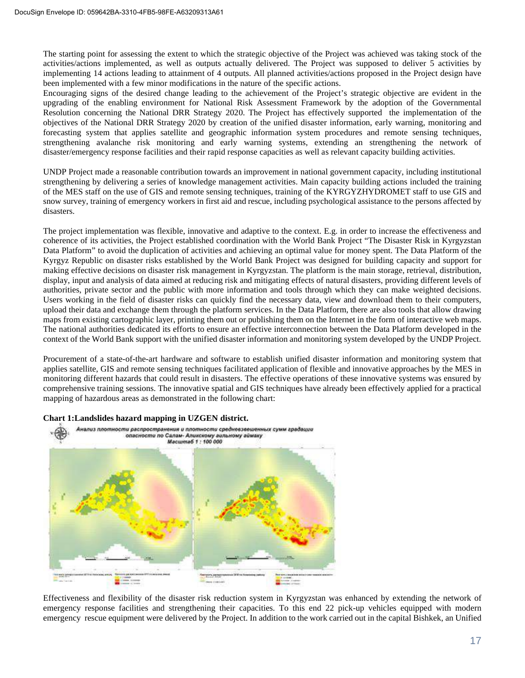The starting point for assessing the extent to which the strategic objective of the Project was achieved was taking stock of the activities/actions implemented, as well as outputs actually delivered. The Project was supposed to deliver 5 activities by implementing 14 actions leading to attainment of 4 outputs. All planned activities/actions proposed in the Project design have been implemented with a few minor modifications in the nature of the specific actions.

Encouraging signs of the desired change leading to the achievement of the Project's strategic objective are evident in the upgrading of the enabling environment for National Risk Assessment Framework by the adoption of the Governmental Resolution concerning the National DRR Strategy 2020. The Project has effectively supported the implementation of the objectives of the National DRR Strategy 2020 by creation of the unified disaster information, early warning, monitoring and forecasting system that applies satellite and geographic information system procedures and remote sensing techniques, strengthening avalanche risk monitoring and early warning systems, extending an strengthening the network of disaster/emergency response facilities and their rapid response capacities as well as relevant capacity building activities.

UNDP Project made a reasonable contribution towards an improvement in national government capacity, including institutional strengthening by delivering a series of knowledge management activities. Main capacity building actions included the training of the MES staff on the use of GIS and remote sensing techniques, training of the KYRGYZHYDROMET staff to use GIS and snow survey, training of emergency workers in first aid and rescue, including psychological assistance to the persons affected by disasters.

The project implementation was flexible, innovative and adaptive to the context. E.g. in order to increase the effectiveness and coherence of its activities, the Project established coordination with the World Bank Project "The Disaster Risk in Kyrgyzstan Data Platform" to avoid the duplication of activities and achieving an optimal value for money spent. The Data Platform of the Kyrgyz Republic on disaster risks established by the World Bank Project was designed for building capacity and support for making effective decisions on disaster risk management in Kyrgyzstan. The platform is the main storage, retrieval, distribution, display, input and analysis of data aimed at reducing risk and mitigating effects of natural disasters, providing different levels of authorities, private sector and the public with more information and tools through which they can make weighted decisions. Users working in the field of disaster risks can quickly find the necessary data, view and download them to their computers, upload their data and exchange them through the platform services. In the Data Platform, there are also tools that allow drawing maps from existing cartographic layer, printing them out or publishing them on the Internet in the form of interactive web maps. The national authorities dedicated its efforts to ensure an effective interconnection between the Data Platform developed in the context of the World Bank support with the unified disaster information and monitoring system developed by the UNDP Project.

Procurement of a state-of-the-art hardware and software to establish unified disaster information and monitoring system that applies satellite, GIS and remote sensing techniques facilitated application of flexible and innovative approaches by the MES in monitoring different hazards that could result in disasters. The effective operations of these innovative systems was ensured by comprehensive training sessions. The innovative spatial and GIS techniques have already been effectively applied for a practical mapping of hazardous areas as demonstrated in the following chart:

## **Chart 1:Landslides hazard mapping in UZGEN district.**



Effectiveness and flexibility of the disaster risk reduction system in Kyrgyzstan was enhanced by extending the network of emergency response facilities and strengthening their capacities. To this end 22 pick-up vehicles equipped with modern emergency rescue equipment were delivered by the Project. In addition to the work carried out in the capital Bishkek, an Unified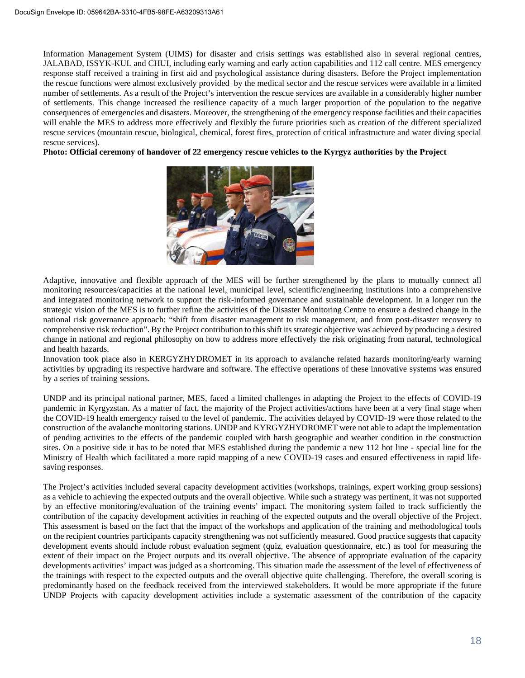Information Management System (UIMS) for disaster and crisis settings was established also in several regional centres, JALABAD, ISSYK-KUL and CHUI, including early warning and early action capabilities and 112 call centre. MES emergency response staff received a training in first aid and psychological assistance during disasters. Before the Project implementation the rescue functions were almost exclusively provided by the medical sector and the rescue services were available in a limited number of settlements. As a result of the Project's intervention the rescue services are available in a considerably higher number of settlements. This change increased the resilience capacity of a much larger proportion of the population to the negative consequences of emergencies and disasters. Moreover, the strengthening of the emergency response facilities and their capacities will enable the MES to address more effectively and flexibly the future priorities such as creation of the different specialized rescue services (mountain rescue, biological, chemical, forest fires, protection of critical infrastructure and water diving special rescue services).

**Photo: Official ceremony of handover of 22 emergency rescue vehicles to the Kyrgyz authorities by the Project**



Adaptive, innovative and flexible approach of the MES will be further strengthened by the plans to mutually connect all monitoring resources/capacities at the national level, municipal level, scientific/engineering institutions into a comprehensive and integrated monitoring network to support the risk-informed governance and sustainable development. In a longer run the strategic vision of the MES is to further refine the activities of the Disaster Monitoring Centre to ensure a desired change in the national risk governance approach: "shift from disaster management to risk management, and from post-disaster recovery to comprehensive risk reduction". By the Project contribution to this shift its strategic objective was achieved by producing a desired change in national and regional philosophy on how to address more effectively the risk originating from natural, technological and health hazards.

Innovation took place also in KERGYZHYDROMET in its approach to avalanche related hazards monitoring/early warning activities by upgrading its respective hardware and software. The effective operations of these innovative systems was ensured by a series of training sessions.

UNDP and its principal national partner, MES, faced a limited challenges in adapting the Project to the effects of COVID-19 pandemic in Kyrgyzstan. As a matter of fact, the majority of the Project activities/actions have been at a very final stage when the COVID-19 health emergency raised to the level of pandemic. The activities delayed by COVID-19 were those related to the construction of the avalanche monitoring stations. UNDP and KYRGYZHYDROMET were not able to adapt the implementation of pending activities to the effects of the pandemic coupled with harsh geographic and weather condition in the construction sites. On a positive side it has to be noted that MES established during the pandemic a new 112 hot line - special line for the Ministry of Health which facilitated a more rapid mapping of a new COVID-19 cases and ensured effectiveness in rapid lifesaving responses.

The Project's activities included several capacity development activities (workshops, trainings, expert working group sessions) as a vehicle to achieving the expected outputs and the overall objective. While such a strategy was pertinent, it was not supported by an effective monitoring/evaluation of the training events' impact. The monitoring system failed to track sufficiently the contribution of the capacity development activities in reaching of the expected outputs and the overall objective of the Project. This assessment is based on the fact that the impact of the workshops and application of the training and methodological tools on the recipient countries participants capacity strengthening was not sufficiently measured. Good practice suggests that capacity development events should include robust evaluation segment (quiz, evaluation questionnaire, etc.) as tool for measuring the extent of their impact on the Project outputs and its overall objective. The absence of appropriate evaluation of the capacity developments activities' impact was judged as a shortcoming. This situation made the assessment of the level of effectiveness of the trainings with respect to the expected outputs and the overall objective quite challenging. Therefore, the overall scoring is predominantly based on the feedback received from the interviewed stakeholders. It would be more appropriate if the future UNDP Projects with capacity development activities include a systematic assessment of the contribution of the capacity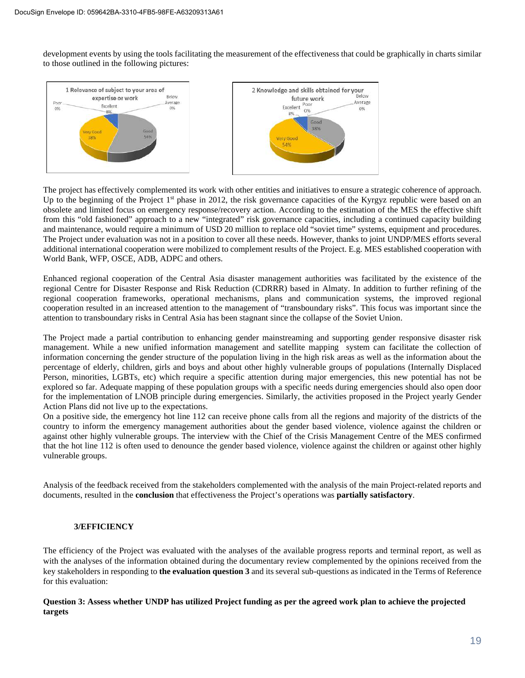development events by using the tools facilitating the measurement of the effectiveness that could be graphically in charts similar to those outlined in the following pictures:



The project has effectively complemented its work with other entities and initiatives to ensure a strategic coherence of approach. Up to the beginning of the Project  $1<sup>st</sup>$  phase in 2012, the risk governance capacities of the Kyrgyz republic were based on an obsolete and limited focus on emergency response/recovery action. According to the estimation of the MES the effective shift from this "old fashioned" approach to a new "integrated" risk governance capacities, including a continued capacity building and maintenance, would require a minimum of USD 20 million to replace old "soviet time" systems, equipment and procedures. The Project under evaluation was not in a position to cover all these needs. However, thanks to joint UNDP/MES efforts several additional international cooperation were mobilized to complement results of the Project. E.g. MES established cooperation with World Bank, WFP, OSCE, ADB, ADPC and others.

Enhanced regional cooperation of the Central Asia disaster management authorities was facilitated by the existence of the regional Centre for Disaster Response and Risk Reduction (CDRRR) based in Almaty. In addition to further refining of the regional cooperation frameworks, operational mechanisms, plans and communication systems, the improved regional cooperation resulted in an increased attention to the management of "transboundary risks". This focus was important since the attention to transboundary risks in Central Asia has been stagnant since the collapse of the Soviet Union.

The Project made a partial contribution to enhancing gender mainstreaming and supporting gender responsive disaster risk management. While a new unified information management and satellite mapping system can facilitate the collection of information concerning the gender structure of the population living in the high risk areas as well as the information about the percentage of elderly, children, girls and boys and about other highly vulnerable groups of populations (Internally Displaced Person, minorities, LGBTs, etc) which require a specific attention during major emergencies, this new potential has not be explored so far. Adequate mapping of these population groups with a specific needs during emergencies should also open door for the implementation of LNOB principle during emergencies. Similarly, the activities proposed in the Project yearly Gender Action Plans did not live up to the expectations.

On a positive side, the emergency hot line 112 can receive phone calls from all the regions and majority of the districts of the country to inform the emergency management authorities about the gender based violence, violence against the children or against other highly vulnerable groups. The interview with the Chief of the Crisis Management Centre of the MES confirmed that the hot line 112 is often used to denounce the gender based violence, violence against the children or against other highly vulnerable groups.

Analysis of the feedback received from the stakeholders complemented with the analysis of the main Project-related reports and documents, resulted in the **conclusion** that effectiveness the Project's operations was **partially satisfactory**.

## **3/EFFICIENCY**

The efficiency of the Project was evaluated with the analyses of the available progress reports and terminal report, as well as with the analyses of the information obtained during the documentary review complemented by the opinions received from the key stakeholders in responding to **the evaluation question 3** and its several sub-questions as indicated in the Terms of Reference for this evaluation:

## **Question 3: Assess whether UNDP has utilized Project funding as per the agreed work plan to achieve the projected targets**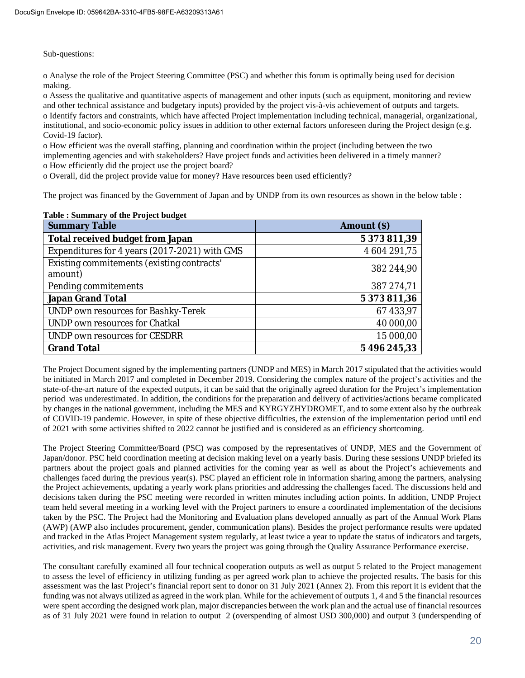Sub-questions:

o Analyse the role of the Project Steering Committee (PSC) and whether this forum is optimally being used for decision making.

o Assess the qualitative and quantitative aspects of management and other inputs (such as equipment, monitoring and review and other technical assistance and budgetary inputs) provided by the project vis-à-vis achievement of outputs and targets. o Identify factors and constraints, which have affected Project implementation including technical, managerial, organizational, institutional, and socio-economic policy issues in addition to other external factors unforeseen during the Project design (e.g. Covid-19 factor).

o How efficient was the overall staffing, planning and coordination within the project (including between the two implementing agencies and with stakeholders? Have project funds and activities been delivered in a timely manner? o How efficiently did the project use the project board?

o Overall, did the project provide value for money? Have resources been used efficiently?

The project was financed by the Government of Japan and by UNDP from its own resources as shown in the below table :

| <b>Summary Table</b>                                  | Amount (\$)  |
|-------------------------------------------------------|--------------|
| Total received budget from Japan                      | 5 373 811,39 |
| Expenditures for 4 years (2017-2021) with GMS         | 4 604 291,75 |
| Existing commitements (existing contracts'<br>amount) | 382 244,90   |
| Pending commitements                                  | 387 274,71   |
| Japan Grand Total                                     | 5 373 811,36 |
| UNDP own resources for Bashky-Terek                   | 67 433,97    |
| UNDP own resources for Chatkal                        | 40 000,00    |
| UNDP own resources for CESDRR                         | 15 000,00    |
| <b>Grand Total</b>                                    | 5 496 245,33 |

## **Table : Summary of the Project budget**

The Project Document signed by the implementing partners (UNDP and MES) in March 2017 stipulated that the activities would be initiated in March 2017 and completed in December 2019. Considering the complex nature of the project's activities and the state-of-the-art nature of the expected outputs, it can be said that the originally agreed duration for the Project's implementation period was underestimated. In addition, the conditions for the preparation and delivery of activities/actions became complicated by changes in the national government, including the MES and KYRGYZHYDROMET, and to some extent also by the outbreak of COVID-19 pandemic. However, in spite of these objective difficulties, the extension of the implementation period until end of 2021 with some activities shifted to 2022 cannot be justified and is considered as an efficiency shortcoming.

The Project Steering Committee/Board (PSC) was composed by the representatives of UNDP, MES and the Government of Japan/donor. PSC held coordination meeting at decision making level on a yearly basis. During these sessions UNDP briefed its partners about the project goals and planned activities for the coming year as well as about the Project's achievements and challenges faced during the previous year(s). PSC played an efficient role in information sharing among the partners, analysing the Project achievements, updating a yearly work plans priorities and addressing the challenges faced. The discussions held and decisions taken during the PSC meeting were recorded in written minutes including action points. In addition, UNDP Project team held several meeting in a working level with the Project partners to ensure a coordinated implementation of the decisions taken by the PSC. The Project had the Monitoring and Evaluation plans developed annually as part of the Annual Work Plans (AWP) (AWP also includes procurement, gender, communication plans). Besides the project performance results were updated and tracked in the Atlas Project Management system regularly, at least twice a year to update the status of indicators and targets, activities, and risk management. Every two years the project was going through the Quality Assurance Performance exercise.

The consultant carefully examined all four technical cooperation outputs as well as output 5 related to the Project management to assess the level of efficiency in utilizing funding as per agreed work plan to achieve the projected results. The basis for this assessment was the last Project's financial report sent to donor on 31 July 2021 (Annex 2). From this report it is evident that the funding was not always utilized as agreed in the work plan. While for the achievement of outputs 1, 4 and 5 the financial resources were spent according the designed work plan, major discrepancies between the work plan and the actual use of financial resources as of 31 July 2021 were found in relation to output 2 (overspending of almost USD 300,000) and output 3 (underspending of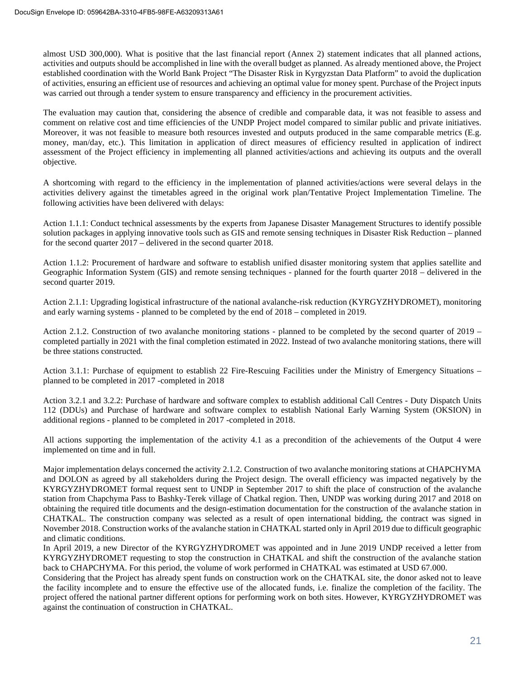almost USD 300,000). What is positive that the last financial report (Annex 2) statement indicates that all planned actions, activities and outputs should be accomplished in line with the overall budget as planned. As already mentioned above, the Project established coordination with the World Bank Project "The Disaster Risk in Kyrgyzstan Data Platform" to avoid the duplication of activities, ensuring an efficient use of resources and achieving an optimal value for money spent. Purchase of the Project inputs was carried out through a tender system to ensure transparency and efficiency in the procurement activities.

The evaluation may caution that, considering the absence of credible and comparable data, it was not feasible to assess and comment on relative cost and time efficiencies of the UNDP Project model compared to similar public and private initiatives. Moreover, it was not feasible to measure both resources invested and outputs produced in the same comparable metrics (E.g. money, man/day, etc.). This limitation in application of direct measures of efficiency resulted in application of indirect assessment of the Project efficiency in implementing all planned activities/actions and achieving its outputs and the overall objective.

A shortcoming with regard to the efficiency in the implementation of planned activities/actions were several delays in the activities delivery against the timetables agreed in the original work plan/Tentative Project Implementation Timeline. The following activities have been delivered with delays:

Action 1.1.1: Conduct technical assessments by the experts from Japanese Disaster Management Structures to identify possible solution packages in applying innovative tools such as GIS and remote sensing techniques in Disaster Risk Reduction – planned for the second quarter 2017 – delivered in the second quarter 2018.

Action 1.1.2: Procurement of hardware and software to establish unified disaster monitoring system that applies satellite and Geographic Information System (GIS) and remote sensing techniques - planned for the fourth quarter 2018 – delivered in the second quarter 2019.

Action 2.1.1: Upgrading logistical infrastructure of the national avalanche-risk reduction (KYRGYZHYDROMET), monitoring and early warning systems - planned to be completed by the end of 2018 – completed in 2019.

Action 2.1.2. Construction of two avalanche monitoring stations - planned to be completed by the second quarter of 2019 – completed partially in 2021 with the final completion estimated in 2022. Instead of two avalanche monitoring stations, there will be three stations constructed.

Action 3.1.1: Purchase of equipment to establish 22 Fire-Rescuing Facilities under the Ministry of Emergency Situations – planned to be completed in 2017 -completed in 2018

Action 3.2.1 and 3.2.2: Purchase of hardware and software complex to establish additional Call Centres - Duty Dispatch Units 112 (DDUs) and Purchase of hardware and software complex to establish National Early Warning System (OKSION) in additional regions - planned to be completed in 2017 -completed in 2018.

All actions supporting the implementation of the activity 4.1 as a precondition of the achievements of the Output 4 were implemented on time and in full.

Major implementation delays concerned the activity 2.1.2. Construction of two avalanche monitoring stations at CHAPCHYMA and DOLON as agreed by all stakeholders during the Project design. The overall efficiency was impacted negatively by the KYRGYZHYDROMET formal request sent to UNDP in September 2017 to shift the place of construction of the avalanche station from Chapchyma Pass to Bashky-Terek village of Chatkal region. Then, UNDP was working during 2017 and 2018 on obtaining the required title documents and the design-estimation documentation for the construction of the avalanche station in CHATKAL. The construction company was selected as a result of open international bidding, the contract was signed in November 2018. Construction works of the avalanche station in CHATKAL started only in April 2019 due to difficult geographic and climatic conditions.

In April 2019, a new Director of the KYRGYZHYDROMET was appointed and in June 2019 UNDP received a letter from KYRGYZHYDROMET requesting to stop the construction in CHATKAL and shift the construction of the avalanche station back to CHAPCHYMA. For this period, the volume of work performed in CHATKAL was estimated at USD 67.000.

Considering that the Project has already spent funds on construction work on the CHATKAL site, the donor asked not to leave the facility incomplete and to ensure the effective use of the allocated funds, i.e. finalize the completion of the facility. The project offered the national partner different options for performing work on both sites. However, KYRGYZHYDROMET was against the continuation of construction in CHATKAL.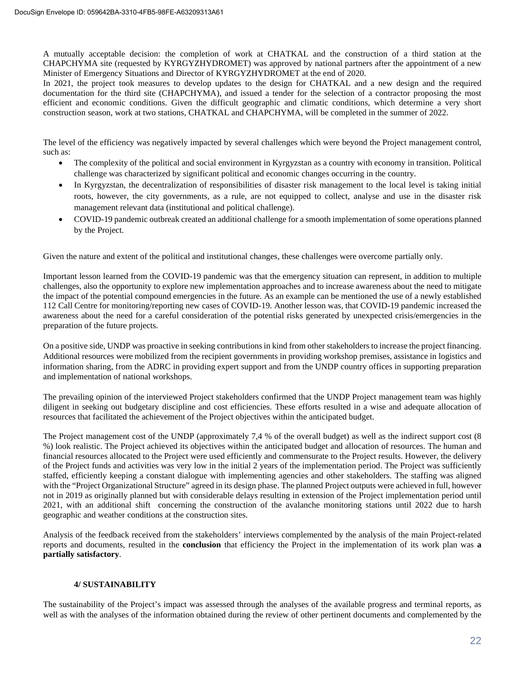A mutually acceptable decision: the completion of work at CHATKAL and the construction of a third station at the CHAPCHYMA site (requested by KYRGYZHYDROMET) was approved by national partners after the appointment of a new Minister of Emergency Situations and Director of KYRGYZHYDROMET at the end of 2020.

In 2021, the project took measures to develop updates to the design for CHATKAL and a new design and the required documentation for the third site (CHAPCHYMA), and issued a tender for the selection of a contractor proposing the most efficient and economic conditions. Given the difficult geographic and climatic conditions, which determine a very short construction season, work at two stations, CHATKAL and CHAPCHYMA, will be completed in the summer of 2022.

The level of the efficiency was negatively impacted by several challenges which were beyond the Project management control, such as:

- The complexity of the political and social environment in Kyrgyzstan as a country with economy in transition. Political challenge was characterized by significant political and economic changes occurring in the country.
- · In Kyrgyzstan, the decentralization of responsibilities of disaster risk management to the local level is taking initial roots, however, the city governments, as a rule, are not equipped to collect, analyse and use in the disaster risk management relevant data (institutional and political challenge).
- · COVID-19 pandemic outbreak created an additional challenge for a smooth implementation of some operations planned by the Project.

Given the nature and extent of the political and institutional changes, these challenges were overcome partially only.

Important lesson learned from the COVID-19 pandemic was that the emergency situation can represent, in addition to multiple challenges, also the opportunity to explore new implementation approaches and to increase awareness about the need to mitigate the impact of the potential compound emergencies in the future. As an example can be mentioned the use of a newly established 112 Call Centre for monitoring/reporting new cases of COVID-19. Another lesson was, that COVID-19 pandemic increased the awareness about the need for a careful consideration of the potential risks generated by unexpected crisis/emergencies in the preparation of the future projects.

On a positive side, UNDP was proactive in seeking contributions in kind from other stakeholders to increase the project financing. Additional resources were mobilized from the recipient governments in providing workshop premises, assistance in logistics and information sharing, from the ADRC in providing expert support and from the UNDP country offices in supporting preparation and implementation of national workshops.

The prevailing opinion of the interviewed Project stakeholders confirmed that the UNDP Project management team was highly diligent in seeking out budgetary discipline and cost efficiencies. These efforts resulted in a wise and adequate allocation of resources that facilitated the achievement of the Project objectives within the anticipated budget.

The Project management cost of the UNDP (approximately 7,4 % of the overall budget) as well as the indirect support cost (8 %) look realistic. The Project achieved its objectives within the anticipated budget and allocation of resources. The human and financial resources allocated to the Project were used efficiently and commensurate to the Project results. However, the delivery of the Project funds and activities was very low in the initial 2 years of the implementation period. The Project was sufficiently staffed, efficiently keeping a constant dialogue with implementing agencies and other stakeholders. The staffing was aligned with the "Project Organizational Structure" agreed in its design phase. The planned Project outputs were achieved in full, however not in 2019 as originally planned but with considerable delays resulting in extension of the Project implementation period until 2021, with an additional shift concerning the construction of the avalanche monitoring stations until 2022 due to harsh geographic and weather conditions at the construction sites.

Analysis of the feedback received from the stakeholders' interviews complemented by the analysis of the main Project-related reports and documents, resulted in the **conclusion** that efficiency the Project in the implementation of its work plan was **a partially satisfactory**.

## **4/ SUSTAINABILITY**

The sustainability of the Project's impact was assessed through the analyses of the available progress and terminal reports, as well as with the analyses of the information obtained during the review of other pertinent documents and complemented by the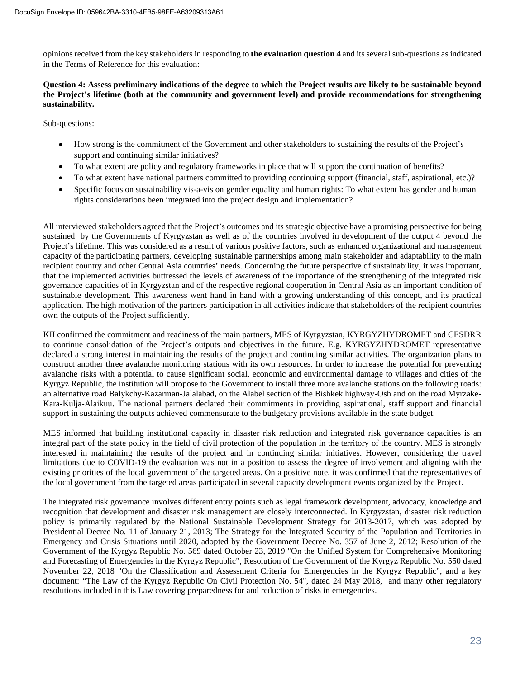opinions received from the key stakeholders in responding to **the evaluation question 4** and its several sub-questions as indicated in the Terms of Reference for this evaluation:

## **Question 4: Assess preliminary indications of the degree to which the Project results are likely to be sustainable beyond the Project's lifetime (both at the community and government level) and provide recommendations for strengthening sustainability.**

Sub-questions:

- · How strong is the commitment of the Government and other stakeholders to sustaining the results of the Project's support and continuing similar initiatives?
- · To what extent are policy and regulatory frameworks in place that will support the continuation of benefits?
- · To what extent have national partners committed to providing continuing support (financial, staff, aspirational, etc.)?
- Specific focus on sustainability vis-a-vis on gender equality and human rights: To what extent has gender and human rights considerations been integrated into the project design and implementation?

All interviewed stakeholders agreed that the Project's outcomes and its strategic objective have a promising perspective for being sustained by the Governments of Kyrgyzstan as well as of the countries involved in development of the output 4 beyond the Project's lifetime. This was considered as a result of various positive factors, such as enhanced organizational and management capacity of the participating partners, developing sustainable partnerships among main stakeholder and adaptability to the main recipient country and other Central Asia countries' needs. Concerning the future perspective of sustainability, it was important, that the implemented activities buttressed the levels of awareness of the importance of the strengthening of the integrated risk governance capacities of in Kyrgyzstan and of the respective regional cooperation in Central Asia as an important condition of sustainable development. This awareness went hand in hand with a growing understanding of this concept, and its practical application. The high motivation of the partners participation in all activities indicate that stakeholders of the recipient countries own the outputs of the Project sufficiently.

KII confirmed the commitment and readiness of the main partners, MES of Kyrgyzstan, KYRGYZHYDROMET and CESDRR to continue consolidation of the Project's outputs and objectives in the future. E.g. KYRGYZHYDROMET representative declared a strong interest in maintaining the results of the project and continuing similar activities. The organization plans to construct another three avalanche monitoring stations with its own resources. In order to increase the potential for preventing avalanche risks with a potential to cause significant social, economic and environmental damage to villages and cities of the Kyrgyz Republic, the institution will propose to the Government to install three more avalanche stations on the following roads: an alternative road Balykchy-Kazarman-Jalalabad, on the Alabel section of the Bishkek highway-Osh and on the road Myrzake-Kara-Kulja-Alaikuu. The national partners declared their commitments in providing aspirational, staff support and financial support in sustaining the outputs achieved commensurate to the budgetary provisions available in the state budget.

MES informed that building institutional capacity in disaster risk reduction and integrated risk governance capacities is an integral part of the state policy in the field of civil protection of the population in the territory of the country. MES is strongly interested in maintaining the results of the project and in continuing similar initiatives. However, considering the travel limitations due to COVID-19 the evaluation was not in a position to assess the degree of involvement and aligning with the existing priorities of the local government of the targeted areas. On a positive note, it was confirmed that the representatives of the local government from the targeted areas participated in several capacity development events organized by the Project.

The integrated risk governance involves different entry points such as legal framework development, advocacy, knowledge and recognition that development and disaster risk management are closely interconnected. In Kyrgyzstan, disaster risk reduction policy is primarily regulated by the National Sustainable Development Strategy for 2013-2017, which was adopted by Presidential Decree No. 11 of January 21, 2013; The Strategy for the Integrated Security of the Population and Territories in Emergency and Crisis Situations until 2020, adopted by the Government Decree No. 357 of June 2, 2012; Resolution of the Government of the Kyrgyz Republic No. 569 dated October 23, 2019 "On the Unified System for Comprehensive Monitoring and Forecasting of Emergencies in the Kyrgyz Republic", Resolution of the Government of the Kyrgyz Republic No. 550 dated November 22, 2018 "On the Classification and Assessment Criteria for Emergencies in the Kyrgyz Republic", and a key document: "The Law of the Kyrgyz Republic On Civil Protection No. 54", dated 24 May 2018, and many other regulatory resolutions included in this Law covering preparedness for and reduction of risks in emergencies.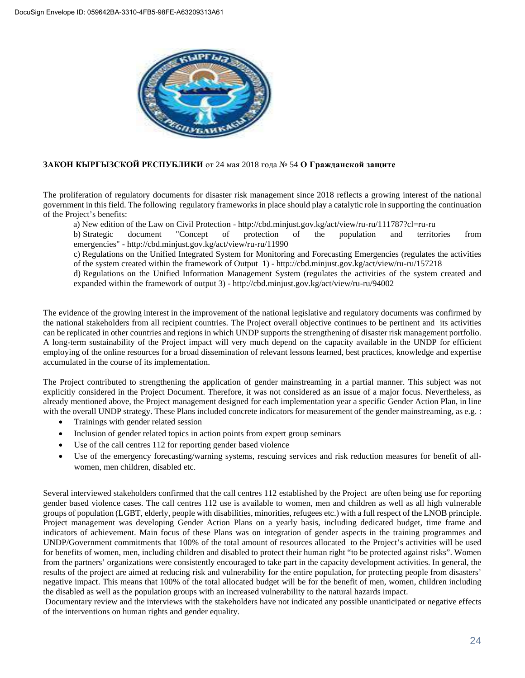

## **ЗАКОН КЫРГЫЗСКОЙ РЕСПУБЛИКИ** от 24 мая 2018 года № 54 **О Гражданской защите**

The proliferation of regulatory documents for disaster risk management since 2018 reflects a growing interest of the national government in this field. The following regulatory frameworks in place should play a catalytic role in supporting the continuation of the Project's benefits:

a) New edition of the Law on Civil Protection - <http://cbd.minjust.gov.kg/act/view/ru-ru/111787?cl=ru-ru>

b) Strategic document "Concept of protection of the population and territories from emergencies" - <http://cbd.minjust.gov.kg/act/view/ru-ru/11990>

c) Regulations on the Unified Integrated System for Monitoring and Forecasting Emergencies (regulates the activities of the system created within the framework of Output 1) - <http://cbd.minjust.gov.kg/act/view/ru-ru/157218>

d) Regulations on the Unified Information Management System (regulates the activities of the system created and expanded within the framework of output 3) - <http://cbd.minjust.gov.kg/act/view/ru-ru/94002>

The evidence of the growing interest in the improvement of the national legislative and regulatory documents was confirmed by the national stakeholders from all recipient countries. The Project overall objective continues to be pertinent and its activities can be replicated in other countries and regions in which UNDP supports the strengthening of disaster risk management portfolio. A long-term sustainability of the Project impact will very much depend on the capacity available in the UNDP for efficient employing of the online resources for a broad dissemination of relevant lessons learned, best practices, knowledge and expertise accumulated in the course of its implementation.

The Project contributed to strengthening the application of gender mainstreaming in a partial manner. This subject was not explicitly considered in the Project Document. Therefore, it was not considered as an issue of a major focus. Nevertheless, as already mentioned above, the Project management designed for each implementation year a specific Gender Action Plan, in line with the overall UNDP strategy. These Plans included concrete indicators for measurement of the gender mainstreaming, as e.g. :

- · Trainings with gender related session
- Inclusion of gender related topics in action points from expert group seminars
- Use of the call centres 112 for reporting gender based violence
- Use of the emergency forecasting/warning systems, rescuing services and risk reduction measures for benefit of allwomen, men children, disabled etc.

Several interviewed stakeholders confirmed that the call centres 112 established by the Project are often being use for reporting gender based violence cases. The call centres 112 use is available to women, men and children as well as all high vulnerable groups of population (LGBT, elderly, people with disabilities, minorities, refugees etc.) with a full respect of the LNOB principle. Project management was developing Gender Action Plans on a yearly basis, including dedicated budget, time frame and indicators of achievement. Main focus of these Plans was on integration of gender aspects in the training programmes and UNDP/Government commitments that 100% of the total amount of resources allocated to the Project's activities will be used for benefits of women, men, including children and disabled to protect their human right "to be protected against risks". Women from the partners' organizations were consistently encouraged to take part in the capacity development activities. In general, the results of the project are aimed at reducing risk and vulnerability for the entire population, for protecting people from disasters' negative impact. This means that 100% of the total allocated budget will be for the benefit of men, women, children including the disabled as well as the population groups with an increased vulnerability to the natural hazards impact.

Documentary review and the interviews with the stakeholders have not indicated any possible unanticipated or negative effects of the interventions on human rights and gender equality.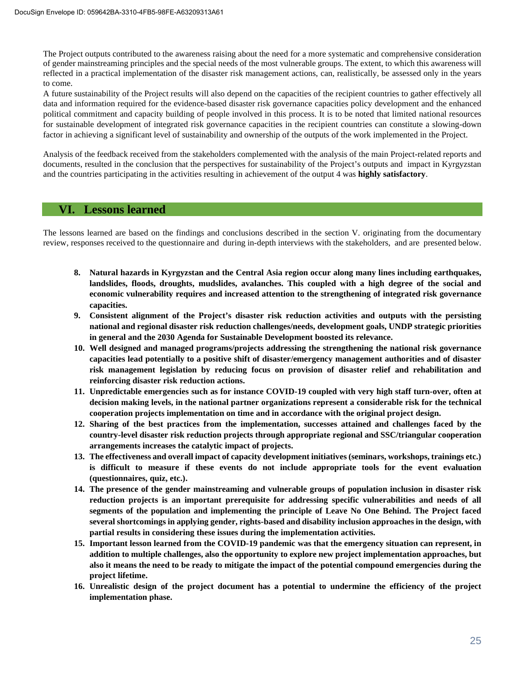The Project outputs contributed to the awareness raising about the need for a more systematic and comprehensive consideration of gender mainstreaming principles and the special needs of the most vulnerable groups. The extent, to which this awareness will reflected in a practical implementation of the disaster risk management actions, can, realistically, be assessed only in the years to come.

A future sustainability of the Project results will also depend on the capacities of the recipient countries to gather effectively all data and information required for the evidence-based disaster risk governance capacities policy development and the enhanced political commitment and capacity building of people involved in this process. It is to be noted that limited national resources for sustainable development of integrated risk governance capacities in the recipient countries can constitute a slowing-down factor in achieving a significant level of sustainability and ownership of the outputs of the work implemented in the Project.

Analysis of the feedback received from the stakeholders complemented with the analysis of the main Project-related reports and documents, resulted in the conclusion that the perspectives for sustainability of the Project's outputs and impact in Kyrgyzstan and the countries participating in the activities resulting in achievement of the output 4 was **highly satisfactory**.

## **VI. Lessons learned**

The lessons learned are based on the findings and conclusions described in the section V. originating from the documentary review, responses received to the questionnaire and during in-depth interviews with the stakeholders, and are presented below.

- **8. Natural hazards in Kyrgyzstan and the Central Asia region occur along many lines including earthquakes, landslides, floods, droughts, mudslides, avalanches. This coupled with a high degree of the social and economic vulnerability requires and increased attention to the strengthening of integrated risk governance capacities.**
- **9. Consistent alignment of the Project's disaster risk reduction activities and outputs with the persisting national and regional disaster risk reduction challenges/needs, development goals, UNDP strategic priorities in general and the 2030 Agenda for Sustainable Development boosted its relevance.**
- **10. Well designed and managed programs/projects addressing the strengthening the national risk governance capacities lead potentially to a positive shift of disaster/emergency management authorities and of disaster risk management legislation by reducing focus on provision of disaster relief and rehabilitation and reinforcing disaster risk reduction actions.**
- **11. Unpredictable emergencies such as for instance COVID-19 coupled with very high staff turn-over, often at decision making levels, in the national partner organizations represent a considerable risk for the technical cooperation projects implementation on time and in accordance with the original project design.**
- **12. Sharing of the best practices from the implementation, successes attained and challenges faced by the country-level disaster risk reduction projects through appropriate regional and SSC/triangular cooperation arrangements increases the catalytic impact of projects.**
- **13. The effectiveness and overall impact of capacity development initiatives (seminars, workshops, trainings etc.) is difficult to measure if these events do not include appropriate tools for the event evaluation (questionnaires, quiz, etc.).**
- **14. The presence of the gender mainstreaming and vulnerable groups of population inclusion in disaster risk reduction projects is an important prerequisite for addressing specific vulnerabilities and needs of all segments of the population and implementing the principle of Leave No One Behind. The Project faced several shortcomings in applying gender, rights-based and disability inclusion approaches in the design, with partial results in considering these issues during the implementation activities.**
- **15. Important lesson learned from the COVID-19 pandemic was that the emergency situation can represent, in addition to multiple challenges, also the opportunity to explore new project implementation approaches, but also it means the need to be ready to mitigate the impact of the potential compound emergencies during the project lifetime.**
- **16. Unrealistic design of the project document has a potential to undermine the efficiency of the project implementation phase.**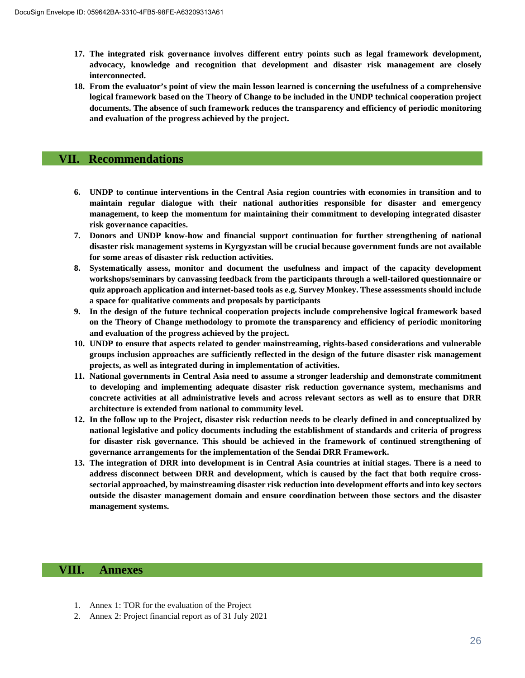- **17. The integrated risk governance involves different entry points such as legal framework development, advocacy, knowledge and recognition that development and disaster risk management are closely interconnected.**
- **18. From the evaluator's point of view the main lesson learned is concerning the usefulness of a comprehensive logical framework based on the Theory of Change to be included in the UNDP technical cooperation project documents. The absence of such framework reduces the transparency and efficiency of periodic monitoring and evaluation of the progress achieved by the project.**

## **VII. Recommendations**

- **6. UNDP to continue interventions in the Central Asia region countries with economies in transition and to maintain regular dialogue with their national authorities responsible for disaster and emergency management, to keep the momentum for maintaining their commitment to developing integrated disaster risk governance capacities.**
- **7. Donors and UNDP know-how and financial support continuation for further strengthening of national disaster risk management systems in Kyrgyzstan will be crucial because government funds are not available for some areas of disaster risk reduction activities.**
- **8. Systematically assess, monitor and document the usefulness and impact of the capacity development workshops/seminars by canvassing feedback from the participants through a well-tailored questionnaire or quiz approach application and internet-based tools as e.g. Survey Monkey. These assessments should include a space for qualitative comments and proposals by participants**
- **9. In the design of the future technical cooperation projects include comprehensive logical framework based on the Theory of Change methodology to promote the transparency and efficiency of periodic monitoring and evaluation of the progress achieved by the project.**
- **10. UNDP to ensure that aspects related to gender mainstreaming, rights-based considerations and vulnerable groups inclusion approaches are sufficiently reflected in the design of the future disaster risk management projects, as well as integrated during in implementation of activities.**
- **11. National governments in Central Asia need to assume a stronger leadership and demonstrate commitment to developing and implementing adequate disaster risk reduction governance system, mechanisms and concrete activities at all administrative levels and across relevant sectors as well as to ensure that DRR architecture is extended from national to community level.**
- **12. In the follow up to the Project, disaster risk reduction needs to be clearly defined in and conceptualized by national legislative and policy documents including the establishment of standards and criteria of progress for disaster risk governance. This should be achieved in the framework of continued strengthening of governance arrangements for the implementation of the Sendai DRR Framework.**
- **13. The integration of DRR into development is in Central Asia countries at initial stages. There is a need to address disconnect between DRR and development, which is caused by the fact that both require crosssectorial approached, by mainstreaming disaster risk reduction into development efforts and into key sectors outside the disaster management domain and ensure coordination between those sectors and the disaster management systems.**

## **VIII. Annexes**

- 1. Annex 1: TOR for the evaluation of the Project
- 2. Annex 2: Project financial report as of 31 July 2021